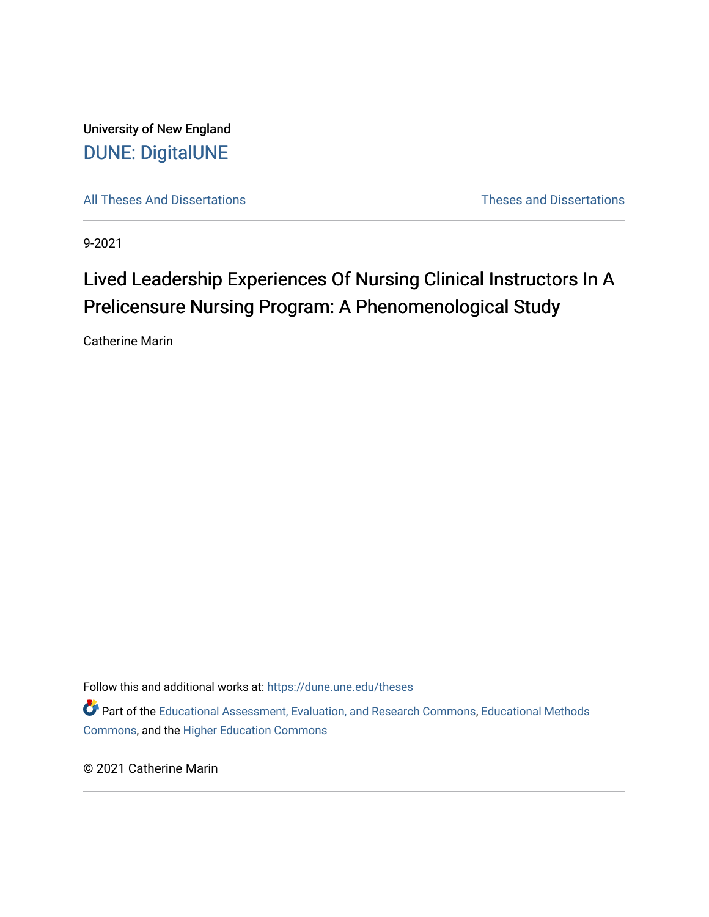University of New England [DUNE: DigitalUNE](https://dune.une.edu/) 

[All Theses And Dissertations](https://dune.une.edu/theses) [Theses and Dissertations](https://dune.une.edu/theses_dissertations) 

9-2021

# Lived Leadership Experiences Of Nursing Clinical Instructors In A Prelicensure Nursing Program: A Phenomenological Study

Catherine Marin

Follow this and additional works at: [https://dune.une.edu/theses](https://dune.une.edu/theses?utm_source=dune.une.edu%2Ftheses%2F391&utm_medium=PDF&utm_campaign=PDFCoverPages)  Part of the [Educational Assessment, Evaluation, and Research Commons](http://network.bepress.com/hgg/discipline/796?utm_source=dune.une.edu%2Ftheses%2F391&utm_medium=PDF&utm_campaign=PDFCoverPages), [Educational Methods](http://network.bepress.com/hgg/discipline/1227?utm_source=dune.une.edu%2Ftheses%2F391&utm_medium=PDF&utm_campaign=PDFCoverPages)  [Commons](http://network.bepress.com/hgg/discipline/1227?utm_source=dune.une.edu%2Ftheses%2F391&utm_medium=PDF&utm_campaign=PDFCoverPages), and the [Higher Education Commons](http://network.bepress.com/hgg/discipline/1245?utm_source=dune.une.edu%2Ftheses%2F391&utm_medium=PDF&utm_campaign=PDFCoverPages) 

© 2021 Catherine Marin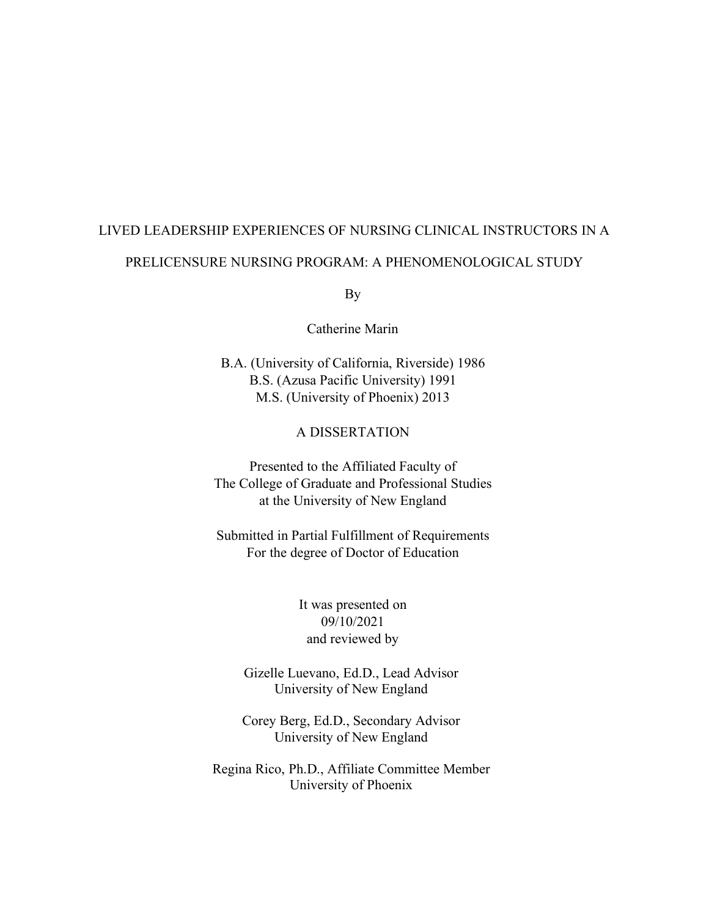# LIVED LEADERSHIP EXPERIENCES OF NURSING CLINICAL INSTRUCTORS IN A PRELICENSURE NURSING PROGRAM: A PHENOMENOLOGICAL STUDY

By

Catherine Marin

B.A. (University of California, Riverside) 1986 B.S. (Azusa Pacific University) 1991 M.S. (University of Phoenix) 2013

#### A DISSERTATION

Presented to the Affiliated Faculty of The College of Graduate and Professional Studies at the University of New England

Submitted in Partial Fulfillment of Requirements For the degree of Doctor of Education

> It was presented on 09/10/2021 and reviewed by

Gizelle Luevano, Ed.D., Lead Advisor University of New England

Corey Berg, Ed.D., Secondary Advisor University of New England

Regina Rico, Ph.D., Affiliate Committee Member University of Phoenix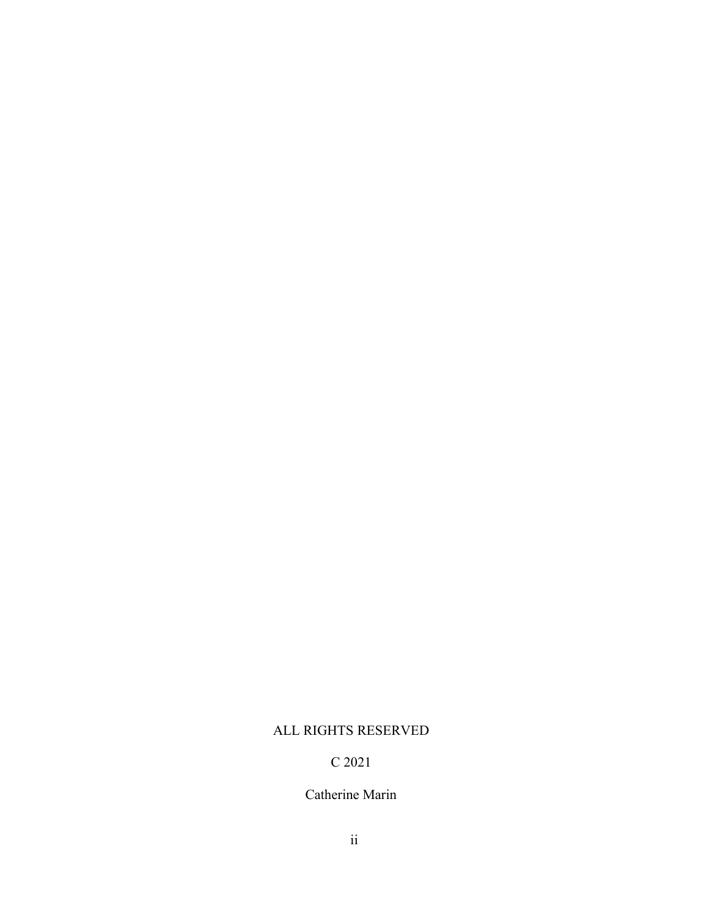### ALL RIGHTS RESERVED

### C 2021

### Catherine Marin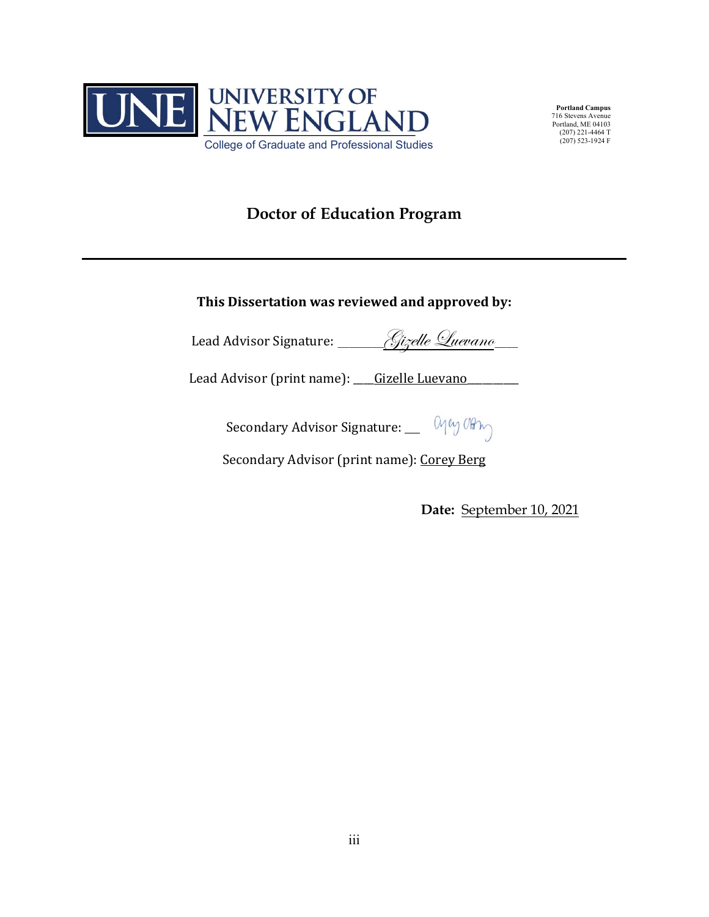

**Portland Campus** 716 Stevens Avenue Portland, ME 04103 (207) 221-4464 T  $(207)$  523-1924 F

# **Doctor of Education Program**

**This Dissertation was reviewed and approved by:**

Lead Advisor Signature: Aizelle Quevano

Lead Advisor (print name): <u>Gizelle Luevano</u>

Secondary Advisor Signature: May Orting

Secondary Advisor (print name): Corey Berg

**Date:** September 10, 2021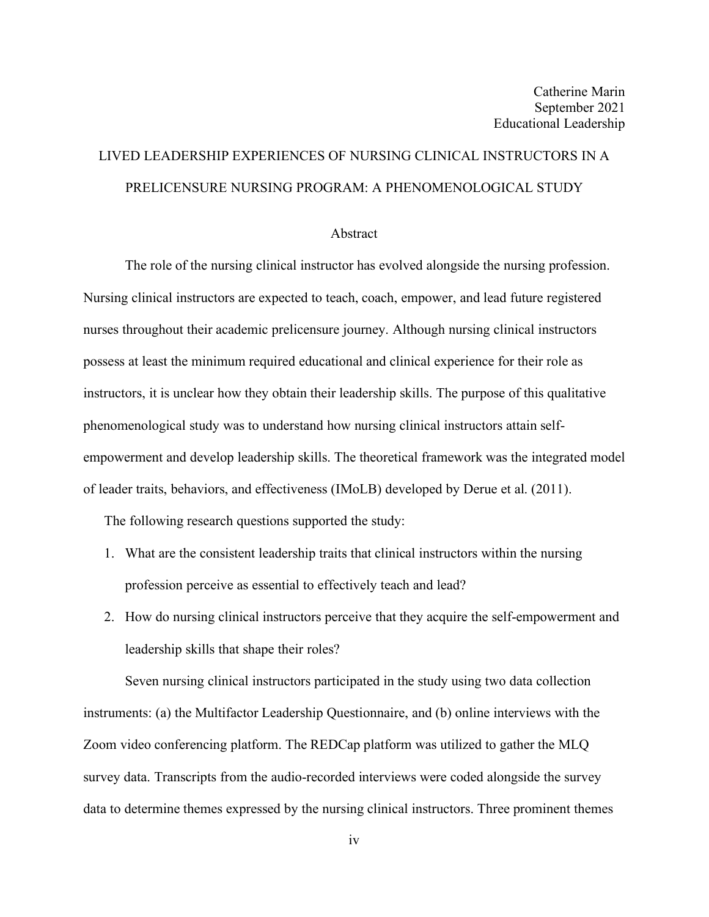# LIVED LEADERSHIP EXPERIENCES OF NURSING CLINICAL INSTRUCTORS IN A PRELICENSURE NURSING PROGRAM: A PHENOMENOLOGICAL STUDY

#### Abstract

The role of the nursing clinical instructor has evolved alongside the nursing profession. Nursing clinical instructors are expected to teach, coach, empower, and lead future registered nurses throughout their academic prelicensure journey. Although nursing clinical instructors possess at least the minimum required educational and clinical experience for their role as instructors, it is unclear how they obtain their leadership skills. The purpose of this qualitative phenomenological study was to understand how nursing clinical instructors attain selfempowerment and develop leadership skills. The theoretical framework was the integrated model of leader traits, behaviors, and effectiveness (IMoLB) developed by Derue et al. (2011).

The following research questions supported the study:

- 1. What are the consistent leadership traits that clinical instructors within the nursing profession perceive as essential to effectively teach and lead?
- 2. How do nursing clinical instructors perceive that they acquire the self-empowerment and leadership skills that shape their roles?

Seven nursing clinical instructors participated in the study using two data collection instruments: (a) the Multifactor Leadership Questionnaire, and (b) online interviews with the Zoom video conferencing platform. The REDCap platform was utilized to gather the MLQ survey data. Transcripts from the audio-recorded interviews were coded alongside the survey data to determine themes expressed by the nursing clinical instructors. Three prominent themes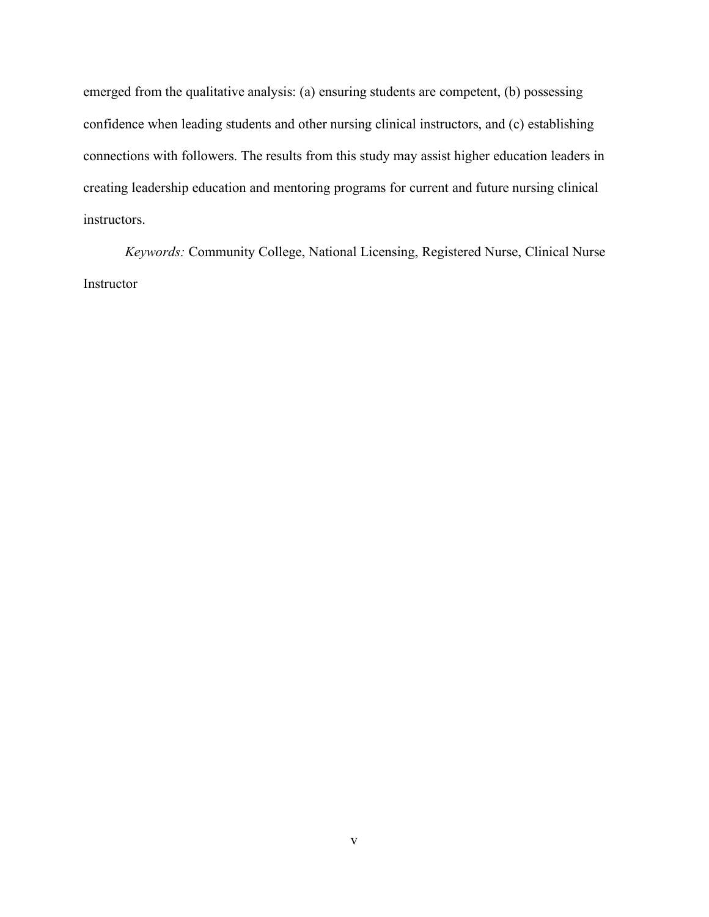emerged from the qualitative analysis: (a) ensuring students are competent, (b) possessing confidence when leading students and other nursing clinical instructors, and (c) establishing connections with followers. The results from this study may assist higher education leaders in creating leadership education and mentoring programs for current and future nursing clinical instructors.

*Keywords:* Community College, National Licensing, Registered Nurse, Clinical Nurse Instructor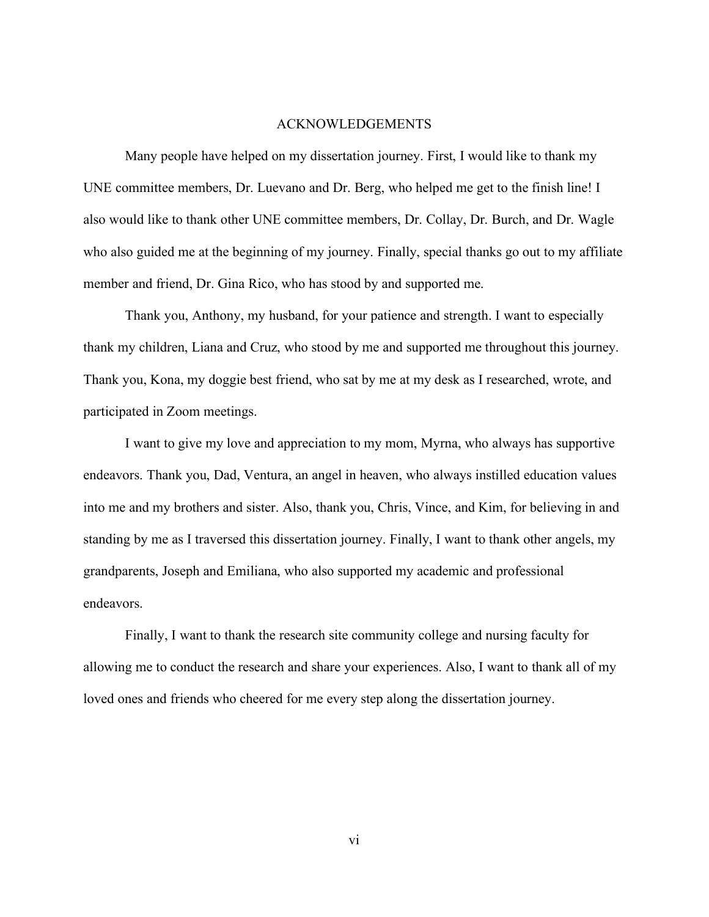#### ACKNOWLEDGEMENTS

Many people have helped on my dissertation journey. First, I would like to thank my UNE committee members, Dr. Luevano and Dr. Berg, who helped me get to the finish line! I also would like to thank other UNE committee members, Dr. Collay, Dr. Burch, and Dr. Wagle who also guided me at the beginning of my journey. Finally, special thanks go out to my affiliate member and friend, Dr. Gina Rico, who has stood by and supported me.

Thank you, Anthony, my husband, for your patience and strength. I want to especially thank my children, Liana and Cruz, who stood by me and supported me throughout this journey. Thank you, Kona, my doggie best friend, who sat by me at my desk as I researched, wrote, and participated in Zoom meetings.

I want to give my love and appreciation to my mom, Myrna, who always has supportive endeavors. Thank you, Dad, Ventura, an angel in heaven, who always instilled education values into me and my brothers and sister. Also, thank you, Chris, Vince, and Kim, for believing in and standing by me as I traversed this dissertation journey. Finally, I want to thank other angels, my grandparents, Joseph and Emiliana, who also supported my academic and professional endeavors.

Finally, I want to thank the research site community college and nursing faculty for allowing me to conduct the research and share your experiences. Also, I want to thank all of my loved ones and friends who cheered for me every step along the dissertation journey.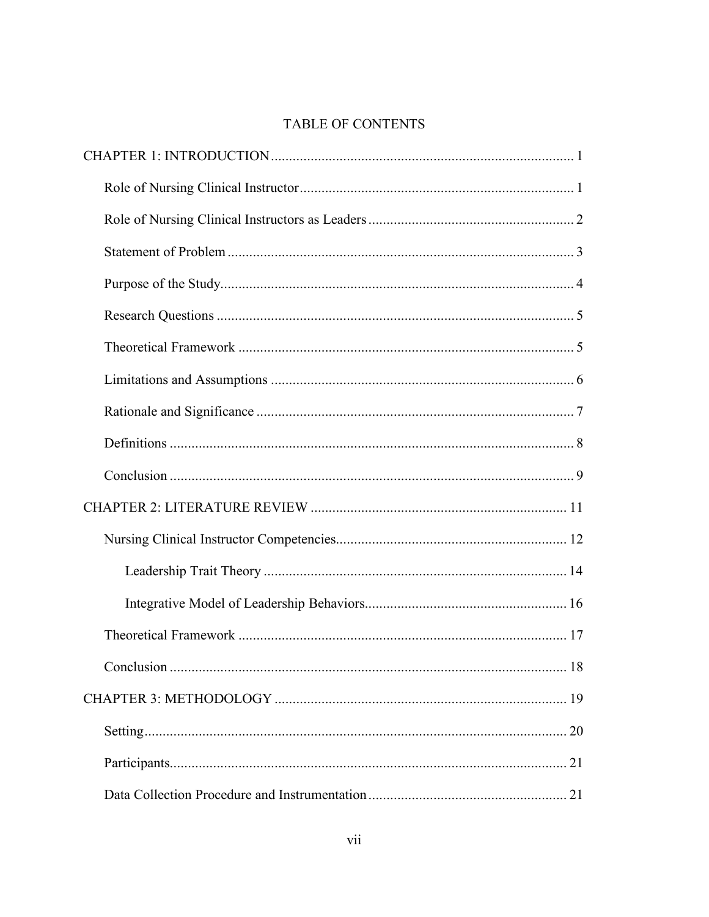## TABLE OF CONTENTS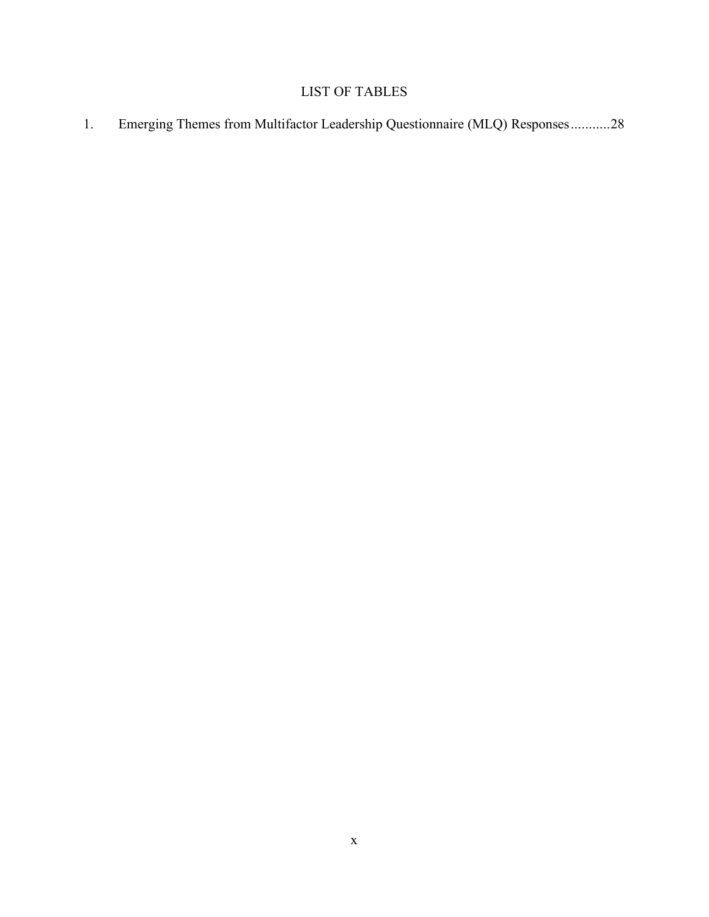## LIST OF TABLES

1. [Emerging Themes from Multifactor Leadership Questionnaire \(MLQ\) Responses...........28](#page-39-1)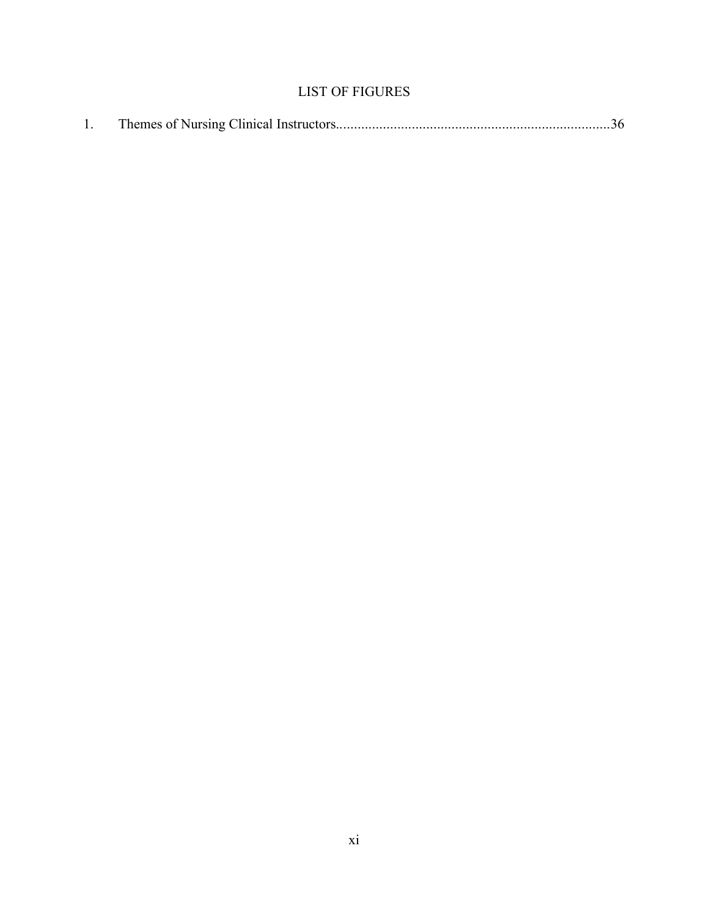## LIST OF FIGURES

|--|--|--|--|--|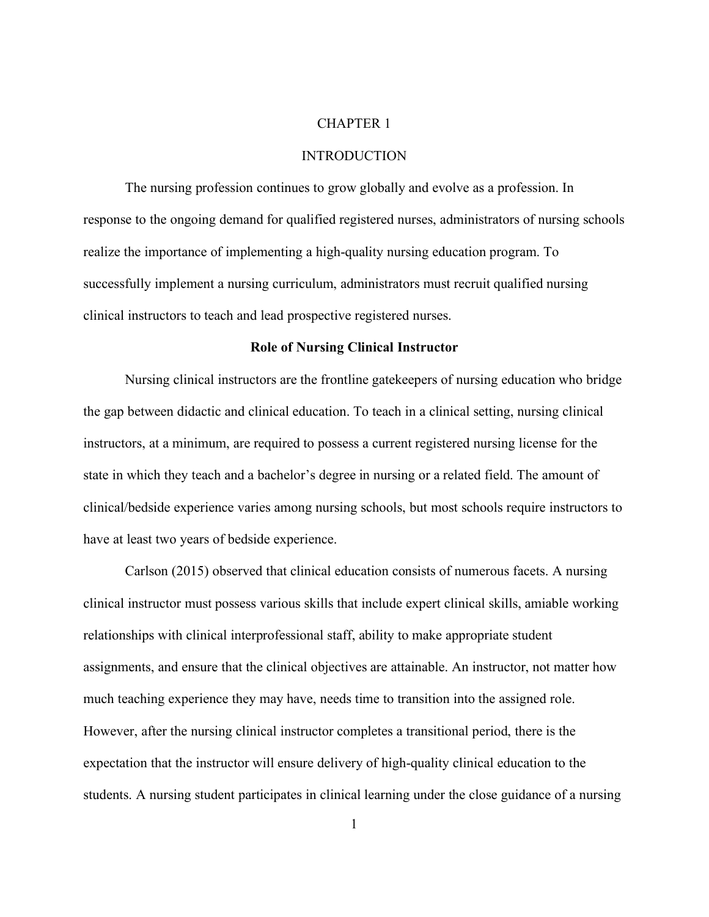#### CHAPTER 1

#### INTRODUCTION

<span id="page-12-0"></span>The nursing profession continues to grow globally and evolve as a profession. In response to the ongoing demand for qualified registered nurses, administrators of nursing schools realize the importance of implementing a high-quality nursing education program. To successfully implement a nursing curriculum, administrators must recruit qualified nursing clinical instructors to teach and lead prospective registered nurses.

#### **Role of Nursing Clinical Instructor**

<span id="page-12-1"></span>Nursing clinical instructors are the frontline gatekeepers of nursing education who bridge the gap between didactic and clinical education. To teach in a clinical setting, nursing clinical instructors, at a minimum, are required to possess a current registered nursing license for the state in which they teach and a bachelor's degree in nursing or a related field. The amount of clinical/bedside experience varies among nursing schools, but most schools require instructors to have at least two years of bedside experience.

Carlson (2015) observed that clinical education consists of numerous facets. A nursing clinical instructor must possess various skills that include expert clinical skills, amiable working relationships with clinical interprofessional staff, ability to make appropriate student assignments, and ensure that the clinical objectives are attainable. An instructor, not matter how much teaching experience they may have, needs time to transition into the assigned role. However, after the nursing clinical instructor completes a transitional period, there is the expectation that the instructor will ensure delivery of high-quality clinical education to the students. A nursing student participates in clinical learning under the close guidance of a nursing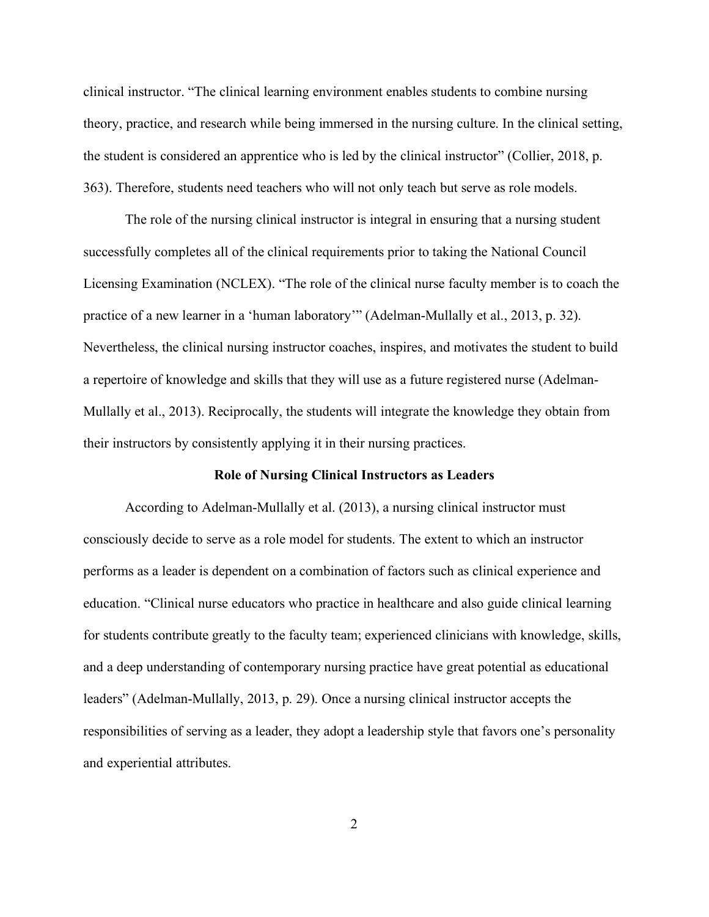clinical instructor. "The clinical learning environment enables students to combine nursing theory, practice, and research while being immersed in the nursing culture. In the clinical setting, the student is considered an apprentice who is led by the clinical instructor" (Collier, 2018, p. 363). Therefore, students need teachers who will not only teach but serve as role models.

The role of the nursing clinical instructor is integral in ensuring that a nursing student successfully completes all of the clinical requirements prior to taking the National Council Licensing Examination (NCLEX). "The role of the clinical nurse faculty member is to coach the practice of a new learner in a 'human laboratory'" (Adelman-Mullally et al., 2013, p. 32). Nevertheless, the clinical nursing instructor coaches, inspires, and motivates the student to build a repertoire of knowledge and skills that they will use as a future registered nurse (Adelman-Mullally et al., 2013). Reciprocally, the students will integrate the knowledge they obtain from their instructors by consistently applying it in their nursing practices.

#### **Role of Nursing Clinical Instructors as Leaders**

<span id="page-13-0"></span>According to Adelman-Mullally et al. (2013), a nursing clinical instructor must consciously decide to serve as a role model for students. The extent to which an instructor performs as a leader is dependent on a combination of factors such as clinical experience and education. "Clinical nurse educators who practice in healthcare and also guide clinical learning for students contribute greatly to the faculty team; experienced clinicians with knowledge, skills, and a deep understanding of contemporary nursing practice have great potential as educational leaders" (Adelman-Mullally, 2013, p. 29). Once a nursing clinical instructor accepts the responsibilities of serving as a leader, they adopt a leadership style that favors one's personality and experiential attributes.

2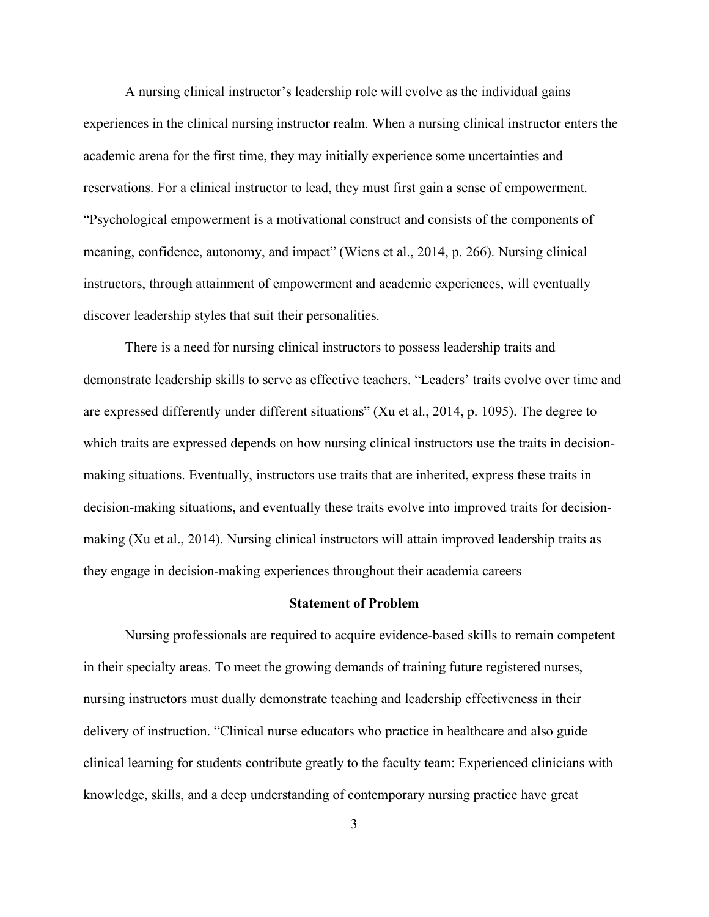A nursing clinical instructor's leadership role will evolve as the individual gains experiences in the clinical nursing instructor realm. When a nursing clinical instructor enters the academic arena for the first time, they may initially experience some uncertainties and reservations. For a clinical instructor to lead, they must first gain a sense of empowerment. "Psychological empowerment is a motivational construct and consists of the components of meaning, confidence, autonomy, and impact" (Wiens et al., 2014, p. 266). Nursing clinical instructors, through attainment of empowerment and academic experiences, will eventually discover leadership styles that suit their personalities.

There is a need for nursing clinical instructors to possess leadership traits and demonstrate leadership skills to serve as effective teachers. "Leaders' traits evolve over time and are expressed differently under different situations" (Xu et al., 2014, p. 1095). The degree to which traits are expressed depends on how nursing clinical instructors use the traits in decisionmaking situations. Eventually, instructors use traits that are inherited, express these traits in decision-making situations, and eventually these traits evolve into improved traits for decisionmaking (Xu et al., 2014). Nursing clinical instructors will attain improved leadership traits as they engage in decision-making experiences throughout their academia careers

#### **Statement of Problem**

<span id="page-14-0"></span>Nursing professionals are required to acquire evidence-based skills to remain competent in their specialty areas. To meet the growing demands of training future registered nurses, nursing instructors must dually demonstrate teaching and leadership effectiveness in their delivery of instruction. "Clinical nurse educators who practice in healthcare and also guide clinical learning for students contribute greatly to the faculty team: Experienced clinicians with knowledge, skills, and a deep understanding of contemporary nursing practice have great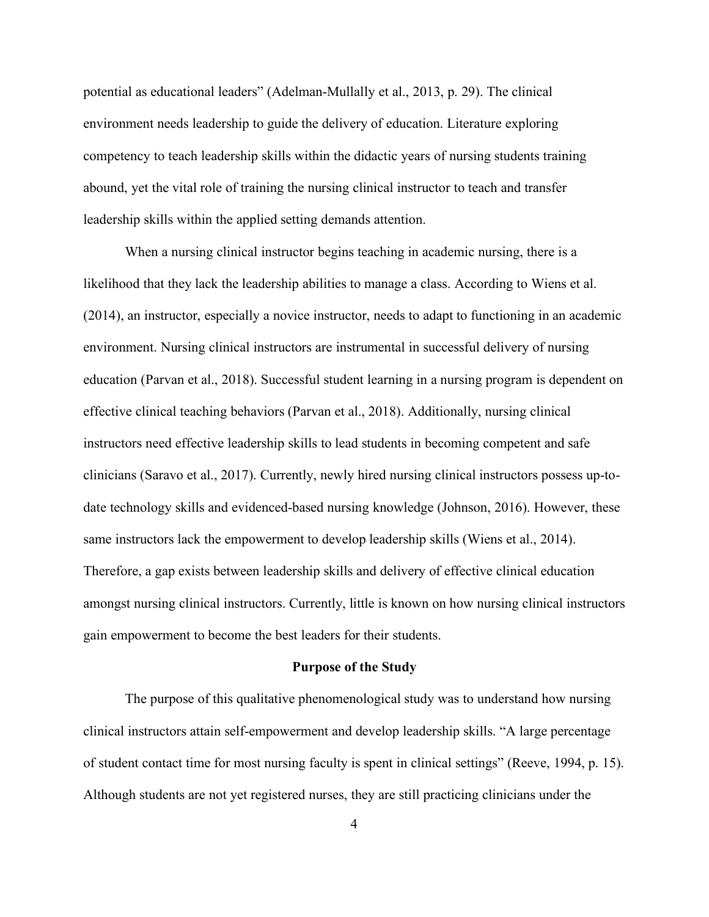potential as educational leaders" (Adelman-Mullally et al., 2013, p. 29). The clinical environment needs leadership to guide the delivery of education. Literature exploring competency to teach leadership skills within the didactic years of nursing students training abound, yet the vital role of training the nursing clinical instructor to teach and transfer leadership skills within the applied setting demands attention.

When a nursing clinical instructor begins teaching in academic nursing, there is a likelihood that they lack the leadership abilities to manage a class. According to Wiens et al. (2014), an instructor, especially a novice instructor, needs to adapt to functioning in an academic environment. Nursing clinical instructors are instrumental in successful delivery of nursing education (Parvan et al., 2018). Successful student learning in a nursing program is dependent on effective clinical teaching behaviors (Parvan et al., 2018). Additionally, nursing clinical instructors need effective leadership skills to lead students in becoming competent and safe clinicians (Saravo et al., 2017). Currently, newly hired nursing clinical instructors possess up-todate technology skills and evidenced-based nursing knowledge (Johnson, 2016). However, these same instructors lack the empowerment to develop leadership skills (Wiens et al., 2014). Therefore, a gap exists between leadership skills and delivery of effective clinical education amongst nursing clinical instructors. Currently, little is known on how nursing clinical instructors gain empowerment to become the best leaders for their students.

#### **Purpose of the Study**

<span id="page-15-0"></span>The purpose of this qualitative phenomenological study was to understand how nursing clinical instructors attain self-empowerment and develop leadership skills. "A large percentage of student contact time for most nursing faculty is spent in clinical settings" (Reeve, 1994, p. 15). Although students are not yet registered nurses, they are still practicing clinicians under the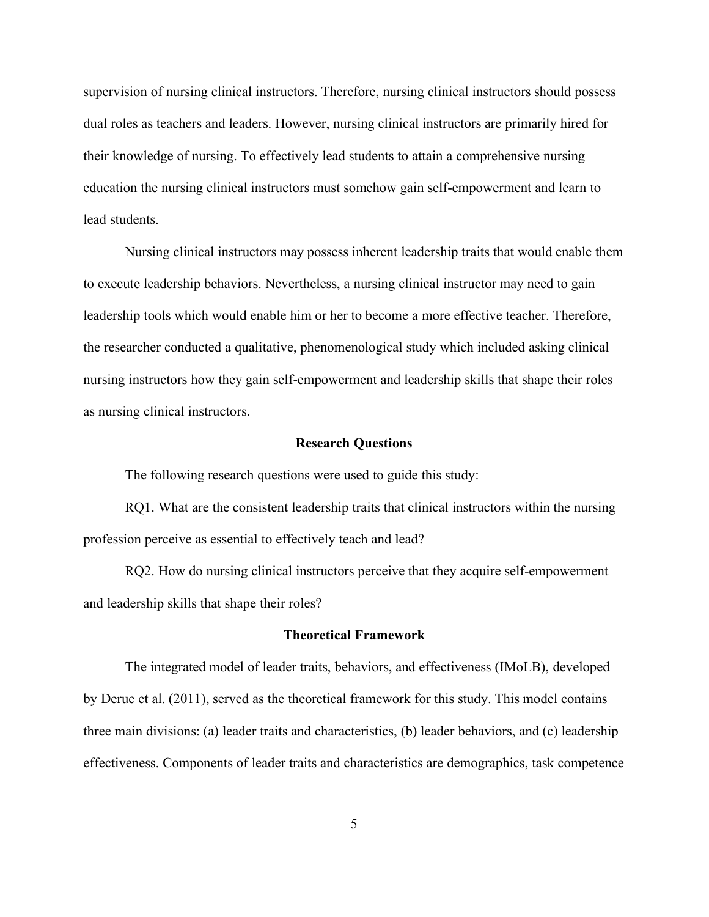supervision of nursing clinical instructors. Therefore, nursing clinical instructors should possess dual roles as teachers and leaders. However, nursing clinical instructors are primarily hired for their knowledge of nursing. To effectively lead students to attain a comprehensive nursing education the nursing clinical instructors must somehow gain self-empowerment and learn to lead students.

Nursing clinical instructors may possess inherent leadership traits that would enable them to execute leadership behaviors. Nevertheless, a nursing clinical instructor may need to gain leadership tools which would enable him or her to become a more effective teacher. Therefore, the researcher conducted a qualitative, phenomenological study which included asking clinical nursing instructors how they gain self-empowerment and leadership skills that shape their roles as nursing clinical instructors.

#### **Research Questions**

<span id="page-16-0"></span>The following research questions were used to guide this study:

RQ1. What are the consistent leadership traits that clinical instructors within the nursing profession perceive as essential to effectively teach and lead?

RQ2. How do nursing clinical instructors perceive that they acquire self-empowerment and leadership skills that shape their roles?

#### **Theoretical Framework**

<span id="page-16-1"></span>The integrated model of leader traits, behaviors, and effectiveness (IMoLB), developed by Derue et al. (2011), served as the theoretical framework for this study. This model contains three main divisions: (a) leader traits and characteristics, (b) leader behaviors, and (c) leadership effectiveness. Components of leader traits and characteristics are demographics, task competence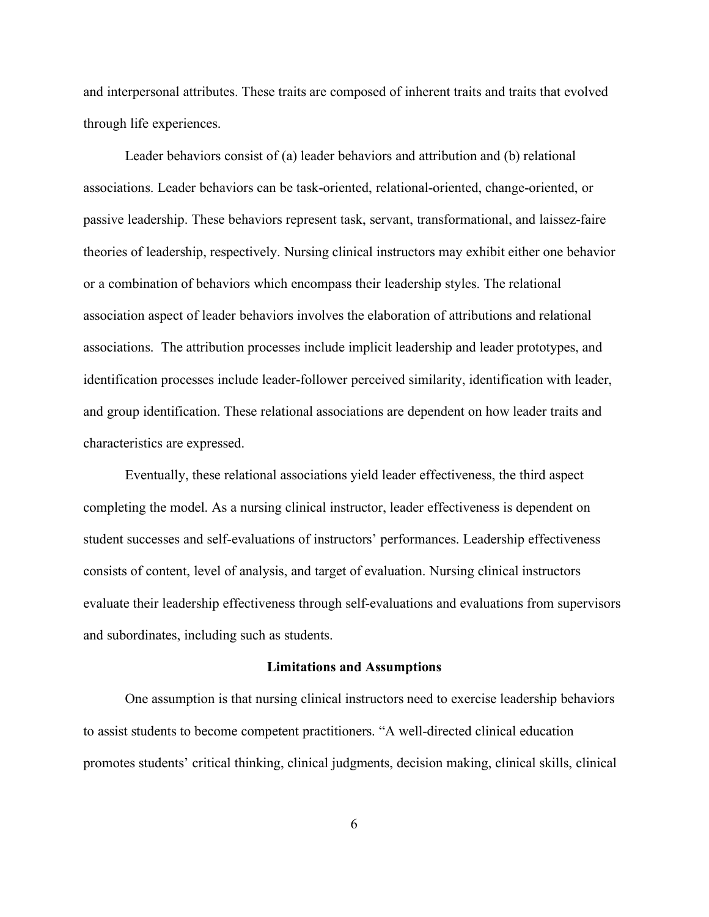and interpersonal attributes. These traits are composed of inherent traits and traits that evolved through life experiences.

Leader behaviors consist of (a) leader behaviors and attribution and (b) relational associations. Leader behaviors can be task-oriented, relational-oriented, change-oriented, or passive leadership. These behaviors represent task, servant, transformational, and laissez-faire theories of leadership, respectively. Nursing clinical instructors may exhibit either one behavior or a combination of behaviors which encompass their leadership styles. The relational association aspect of leader behaviors involves the elaboration of attributions and relational associations. The attribution processes include implicit leadership and leader prototypes, and identification processes include leader-follower perceived similarity, identification with leader, and group identification. These relational associations are dependent on how leader traits and characteristics are expressed.

Eventually, these relational associations yield leader effectiveness, the third aspect completing the model. As a nursing clinical instructor, leader effectiveness is dependent on student successes and self-evaluations of instructors' performances. Leadership effectiveness consists of content, level of analysis, and target of evaluation. Nursing clinical instructors evaluate their leadership effectiveness through self-evaluations and evaluations from supervisors and subordinates, including such as students.

#### **Limitations and Assumptions**

<span id="page-17-0"></span>One assumption is that nursing clinical instructors need to exercise leadership behaviors to assist students to become competent practitioners. "A well-directed clinical education promotes students' critical thinking, clinical judgments, decision making, clinical skills, clinical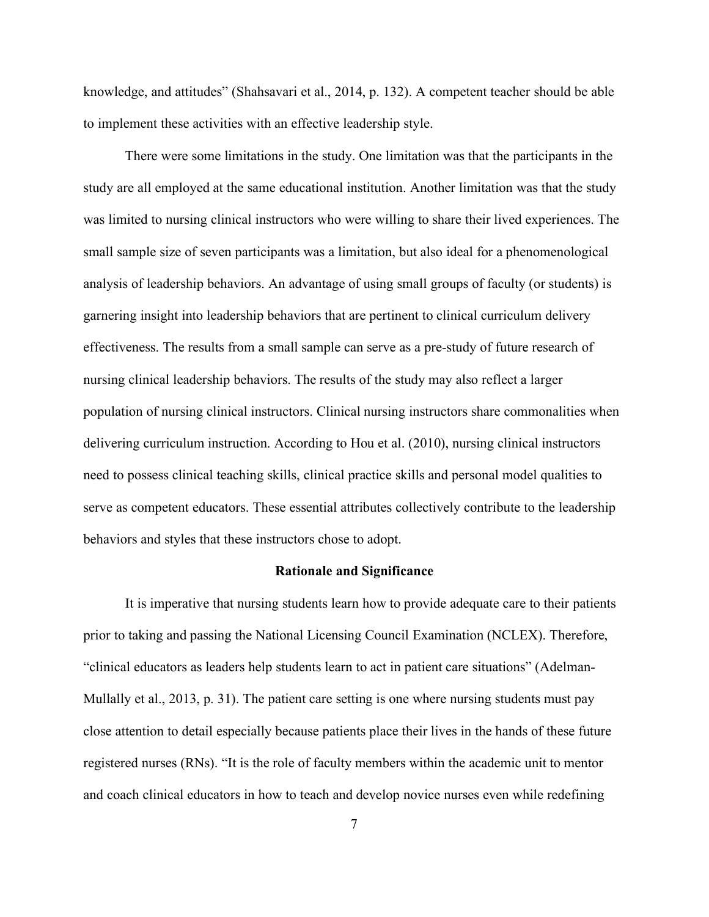knowledge, and attitudes" (Shahsavari et al., 2014, p. 132). A competent teacher should be able to implement these activities with an effective leadership style.

There were some limitations in the study. One limitation was that the participants in the study are all employed at the same educational institution. Another limitation was that the study was limited to nursing clinical instructors who were willing to share their lived experiences. The small sample size of seven participants was a limitation, but also ideal for a phenomenological analysis of leadership behaviors. An advantage of using small groups of faculty (or students) is garnering insight into leadership behaviors that are pertinent to clinical curriculum delivery effectiveness. The results from a small sample can serve as a pre-study of future research of nursing clinical leadership behaviors. The results of the study may also reflect a larger population of nursing clinical instructors. Clinical nursing instructors share commonalities when delivering curriculum instruction. According to Hou et al. (2010), nursing clinical instructors need to possess clinical teaching skills, clinical practice skills and personal model qualities to serve as competent educators. These essential attributes collectively contribute to the leadership behaviors and styles that these instructors chose to adopt.

#### **Rationale and Significance**

<span id="page-18-0"></span>It is imperative that nursing students learn how to provide adequate care to their patients prior to taking and passing the National Licensing Council Examination (NCLEX). Therefore, "clinical educators as leaders help students learn to act in patient care situations" (Adelman-Mullally et al., 2013, p. 31). The patient care setting is one where nursing students must pay close attention to detail especially because patients place their lives in the hands of these future registered nurses (RNs). "It is the role of faculty members within the academic unit to mentor and coach clinical educators in how to teach and develop novice nurses even while redefining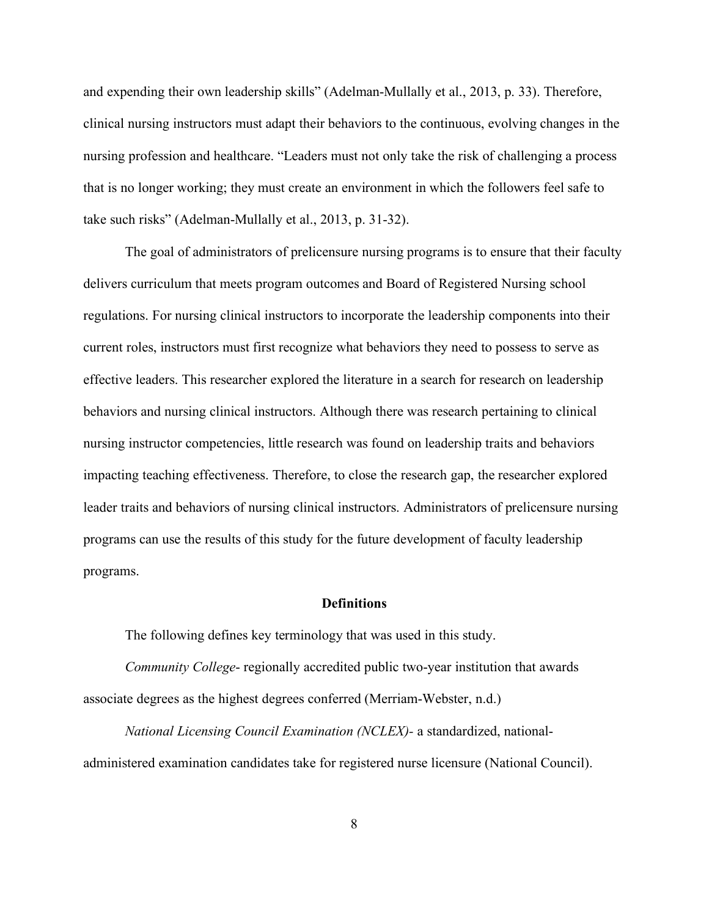and expending their own leadership skills" (Adelman-Mullally et al., 2013, p. 33). Therefore, clinical nursing instructors must adapt their behaviors to the continuous, evolving changes in the nursing profession and healthcare. "Leaders must not only take the risk of challenging a process that is no longer working; they must create an environment in which the followers feel safe to take such risks" (Adelman-Mullally et al., 2013, p. 31-32).

The goal of administrators of prelicensure nursing programs is to ensure that their faculty delivers curriculum that meets program outcomes and Board of Registered Nursing school regulations. For nursing clinical instructors to incorporate the leadership components into their current roles, instructors must first recognize what behaviors they need to possess to serve as effective leaders. This researcher explored the literature in a search for research on leadership behaviors and nursing clinical instructors. Although there was research pertaining to clinical nursing instructor competencies, little research was found on leadership traits and behaviors impacting teaching effectiveness. Therefore, to close the research gap, the researcher explored leader traits and behaviors of nursing clinical instructors. Administrators of prelicensure nursing programs can use the results of this study for the future development of faculty leadership programs.

#### **Definitions**

<span id="page-19-0"></span>The following defines key terminology that was used in this study.

*Community College*- regionally accredited public two-year institution that awards associate degrees as the highest degrees conferred (Merriam-Webster, n.d.)

*National Licensing Council Examination (NCLEX)-* a standardized, nationaladministered examination candidates take for registered nurse licensure (National Council).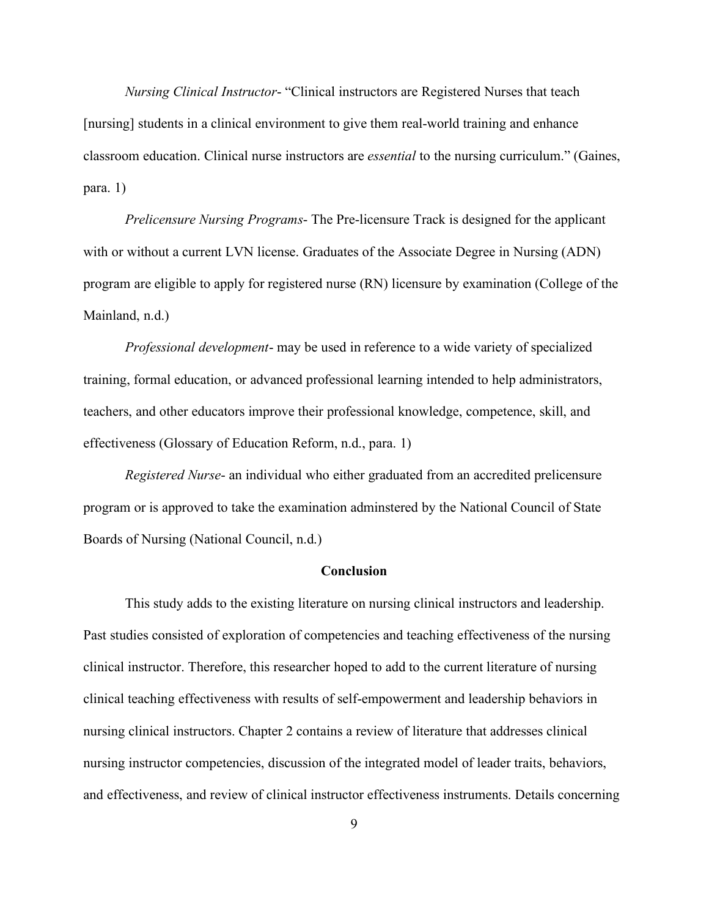*Nursing Clinical Instructor*- "Clinical instructors are Registered Nurses that teach [nursing] students in a clinical environment to give them real-world training and enhance classroom education. Clinical nurse instructors are *essential* to the nursing curriculum." (Gaines, para. 1)

*Prelicensure Nursing Programs*- The Pre-licensure Track is designed for the applicant with or without a current LVN license. Graduates of the Associate Degree in Nursing (ADN) program are eligible to apply for registered nurse (RN) licensure by examination (College of the Mainland, n.d.)

*Professional development*- may be used in reference to a wide variety of specialized training, formal education, or advanced professional learning intended to help administrators, teachers, and other educators improve their professional knowledge, competence, skill, and effectiveness (Glossary of Education Reform, n.d., para. 1)

*Registered Nurse*- an individual who either graduated from an accredited prelicensure program or is approved to take the examination adminstered by the National Council of State Boards of Nursing (National Council, n.d.)

#### **Conclusion**

<span id="page-20-0"></span>This study adds to the existing literature on nursing clinical instructors and leadership. Past studies consisted of exploration of competencies and teaching effectiveness of the nursing clinical instructor. Therefore, this researcher hoped to add to the current literature of nursing clinical teaching effectiveness with results of self-empowerment and leadership behaviors in nursing clinical instructors. Chapter 2 contains a review of literature that addresses clinical nursing instructor competencies, discussion of the integrated model of leader traits, behaviors, and effectiveness, and review of clinical instructor effectiveness instruments. Details concerning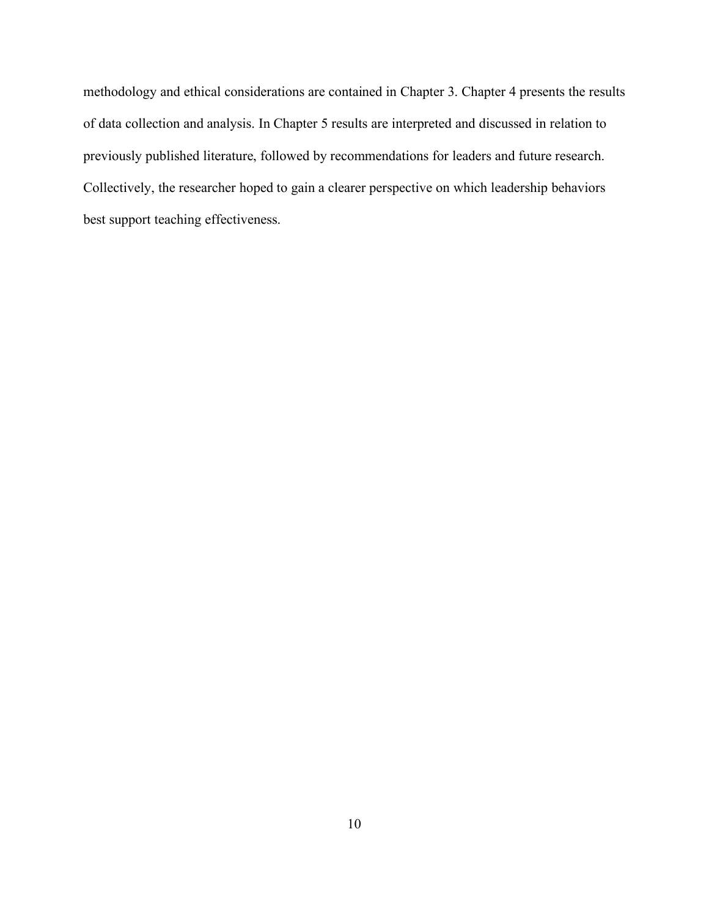methodology and ethical considerations are contained in Chapter 3. Chapter 4 presents the results of data collection and analysis. In Chapter 5 results are interpreted and discussed in relation to previously published literature, followed by recommendations for leaders and future research. Collectively, the researcher hoped to gain a clearer perspective on which leadership behaviors best support teaching effectiveness.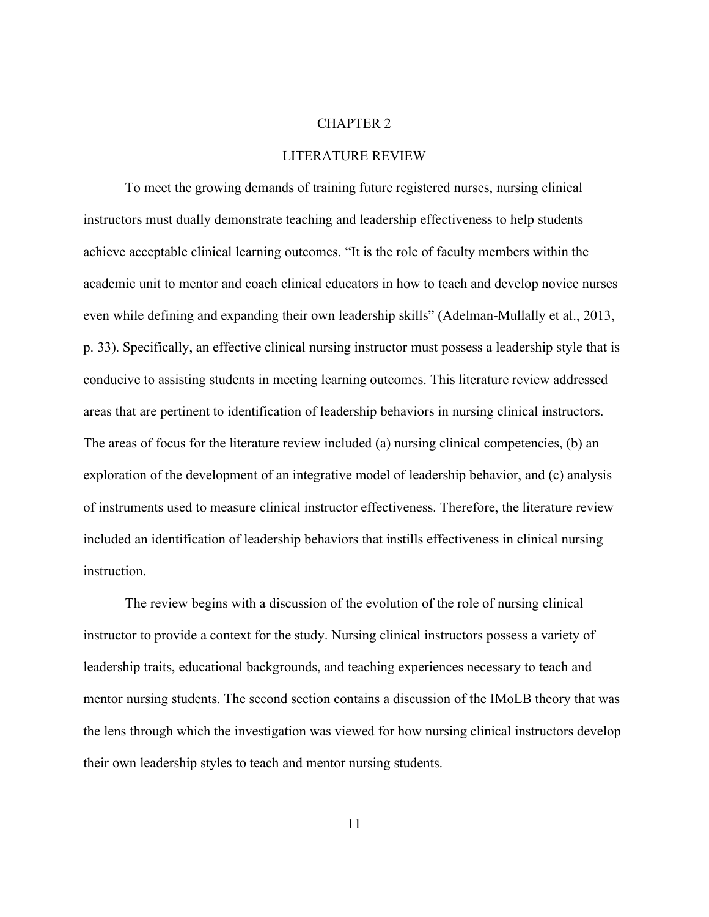#### CHAPTER 2

#### LITERATURE REVIEW

<span id="page-22-0"></span>To meet the growing demands of training future registered nurses, nursing clinical instructors must dually demonstrate teaching and leadership effectiveness to help students achieve acceptable clinical learning outcomes. "It is the role of faculty members within the academic unit to mentor and coach clinical educators in how to teach and develop novice nurses even while defining and expanding their own leadership skills" (Adelman-Mullally et al., 2013, p. 33). Specifically, an effective clinical nursing instructor must possess a leadership style that is conducive to assisting students in meeting learning outcomes. This literature review addressed areas that are pertinent to identification of leadership behaviors in nursing clinical instructors. The areas of focus for the literature review included (a) nursing clinical competencies, (b) an exploration of the development of an integrative model of leadership behavior, and (c) analysis of instruments used to measure clinical instructor effectiveness. Therefore, the literature review included an identification of leadership behaviors that instills effectiveness in clinical nursing instruction.

The review begins with a discussion of the evolution of the role of nursing clinical instructor to provide a context for the study. Nursing clinical instructors possess a variety of leadership traits, educational backgrounds, and teaching experiences necessary to teach and mentor nursing students. The second section contains a discussion of the IMoLB theory that was the lens through which the investigation was viewed for how nursing clinical instructors develop their own leadership styles to teach and mentor nursing students.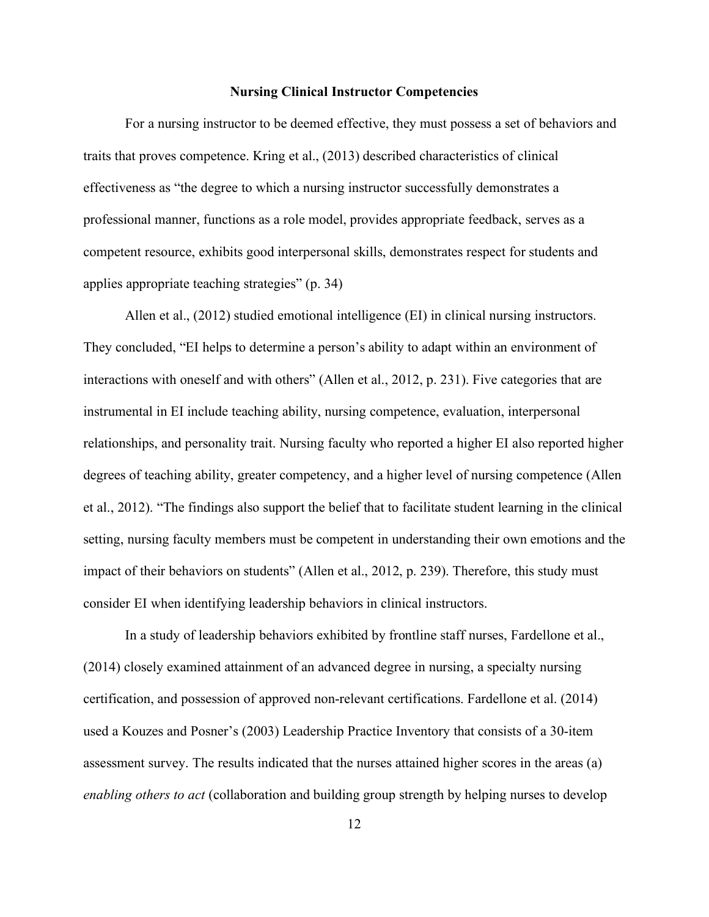#### **Nursing Clinical Instructor Competencies**

<span id="page-23-0"></span>For a nursing instructor to be deemed effective, they must possess a set of behaviors and traits that proves competence. Kring et al., (2013) described characteristics of clinical effectiveness as "the degree to which a nursing instructor successfully demonstrates a professional manner, functions as a role model, provides appropriate feedback, serves as a competent resource, exhibits good interpersonal skills, demonstrates respect for students and applies appropriate teaching strategies" (p. 34)

Allen et al., (2012) studied emotional intelligence (EI) in clinical nursing instructors. They concluded, "EI helps to determine a person's ability to adapt within an environment of interactions with oneself and with others" (Allen et al., 2012, p. 231). Five categories that are instrumental in EI include teaching ability, nursing competence, evaluation, interpersonal relationships, and personality trait. Nursing faculty who reported a higher EI also reported higher degrees of teaching ability, greater competency, and a higher level of nursing competence (Allen et al., 2012). "The findings also support the belief that to facilitate student learning in the clinical setting, nursing faculty members must be competent in understanding their own emotions and the impact of their behaviors on students" (Allen et al., 2012, p. 239). Therefore, this study must consider EI when identifying leadership behaviors in clinical instructors.

In a study of leadership behaviors exhibited by frontline staff nurses, Fardellone et al., (2014) closely examined attainment of an advanced degree in nursing, a specialty nursing certification, and possession of approved non-relevant certifications. Fardellone et al. (2014) used a Kouzes and Posner's (2003) Leadership Practice Inventory that consists of a 30-item assessment survey. The results indicated that the nurses attained higher scores in the areas (a) *enabling others to act* (collaboration and building group strength by helping nurses to develop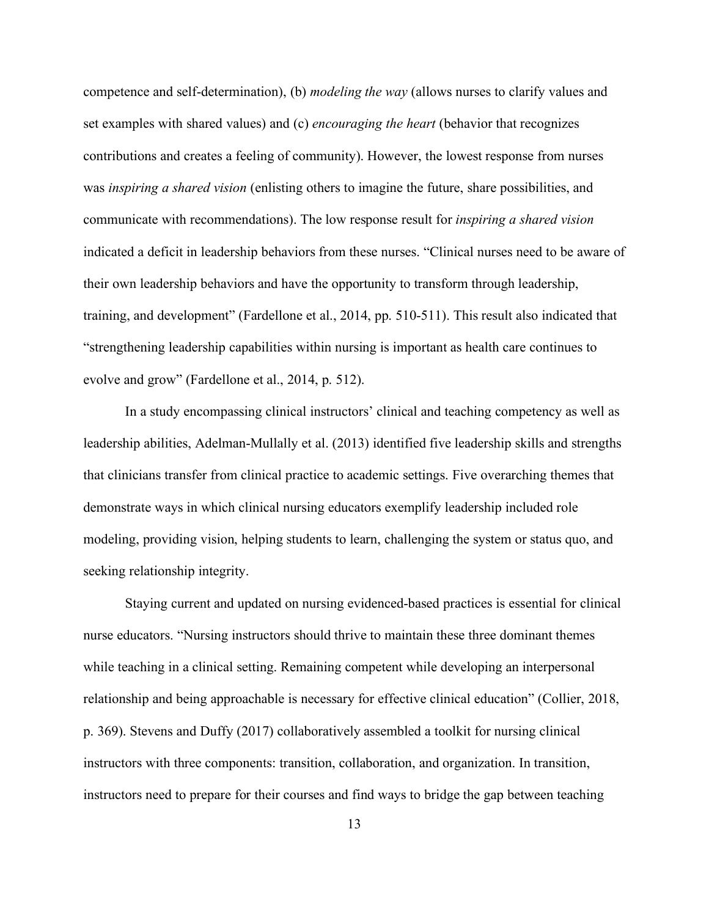competence and self-determination), (b) *modeling the way* (allows nurses to clarify values and set examples with shared values) and (c) *encouraging the heart* (behavior that recognizes contributions and creates a feeling of community). However, the lowest response from nurses was *inspiring a shared vision* (enlisting others to imagine the future, share possibilities, and communicate with recommendations). The low response result for *inspiring a shared vision*  indicated a deficit in leadership behaviors from these nurses. "Clinical nurses need to be aware of their own leadership behaviors and have the opportunity to transform through leadership, training, and development" (Fardellone et al., 2014, pp. 510-511). This result also indicated that "strengthening leadership capabilities within nursing is important as health care continues to evolve and grow" (Fardellone et al., 2014, p. 512).

In a study encompassing clinical instructors' clinical and teaching competency as well as leadership abilities, Adelman-Mullally et al. (2013) identified five leadership skills and strengths that clinicians transfer from clinical practice to academic settings. Five overarching themes that demonstrate ways in which clinical nursing educators exemplify leadership included role modeling, providing vision, helping students to learn, challenging the system or status quo, and seeking relationship integrity.

Staying current and updated on nursing evidenced-based practices is essential for clinical nurse educators. "Nursing instructors should thrive to maintain these three dominant themes while teaching in a clinical setting. Remaining competent while developing an interpersonal relationship and being approachable is necessary for effective clinical education" (Collier, 2018, p. 369). Stevens and Duffy (2017) collaboratively assembled a toolkit for nursing clinical instructors with three components: transition, collaboration, and organization. In transition, instructors need to prepare for their courses and find ways to bridge the gap between teaching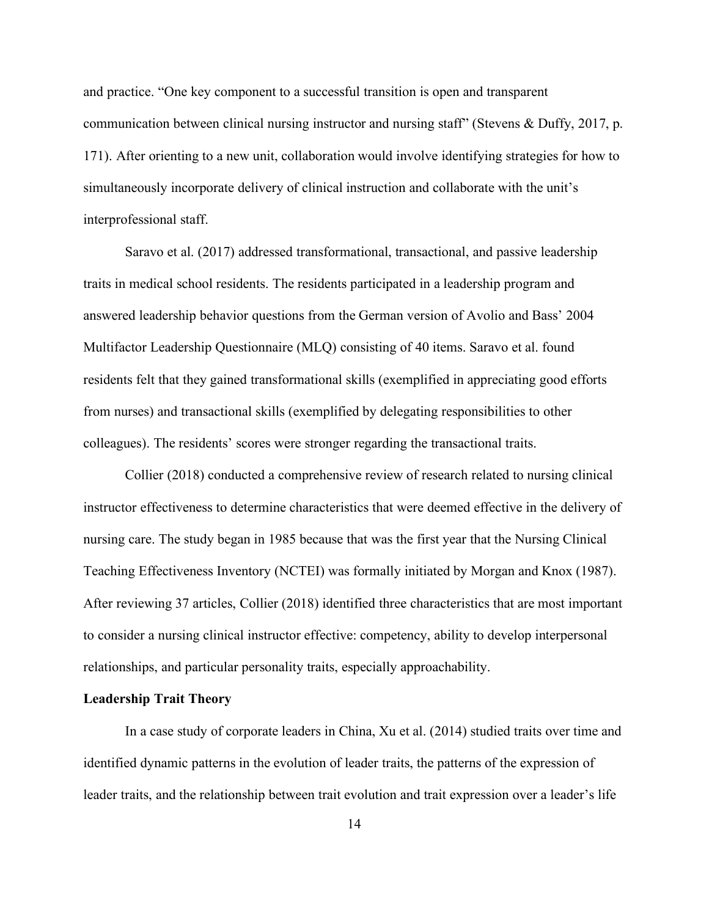and practice. "One key component to a successful transition is open and transparent communication between clinical nursing instructor and nursing staff" (Stevens & Duffy, 2017, p. 171). After orienting to a new unit, collaboration would involve identifying strategies for how to simultaneously incorporate delivery of clinical instruction and collaborate with the unit's interprofessional staff.

Saravo et al. (2017) addressed transformational, transactional, and passive leadership traits in medical school residents. The residents participated in a leadership program and answered leadership behavior questions from the German version of Avolio and Bass' 2004 Multifactor Leadership Questionnaire (MLQ) consisting of 40 items. Saravo et al. found residents felt that they gained transformational skills (exemplified in appreciating good efforts from nurses) and transactional skills (exemplified by delegating responsibilities to other colleagues). The residents' scores were stronger regarding the transactional traits.

Collier (2018) conducted a comprehensive review of research related to nursing clinical instructor effectiveness to determine characteristics that were deemed effective in the delivery of nursing care. The study began in 1985 because that was the first year that the Nursing Clinical Teaching Effectiveness Inventory (NCTEI) was formally initiated by Morgan and Knox (1987). After reviewing 37 articles, Collier (2018) identified three characteristics that are most important to consider a nursing clinical instructor effective: competency, ability to develop interpersonal relationships, and particular personality traits, especially approachability.

#### <span id="page-25-0"></span>**Leadership Trait Theory**

In a case study of corporate leaders in China, Xu et al. (2014) studied traits over time and identified dynamic patterns in the evolution of leader traits, the patterns of the expression of leader traits, and the relationship between trait evolution and trait expression over a leader's life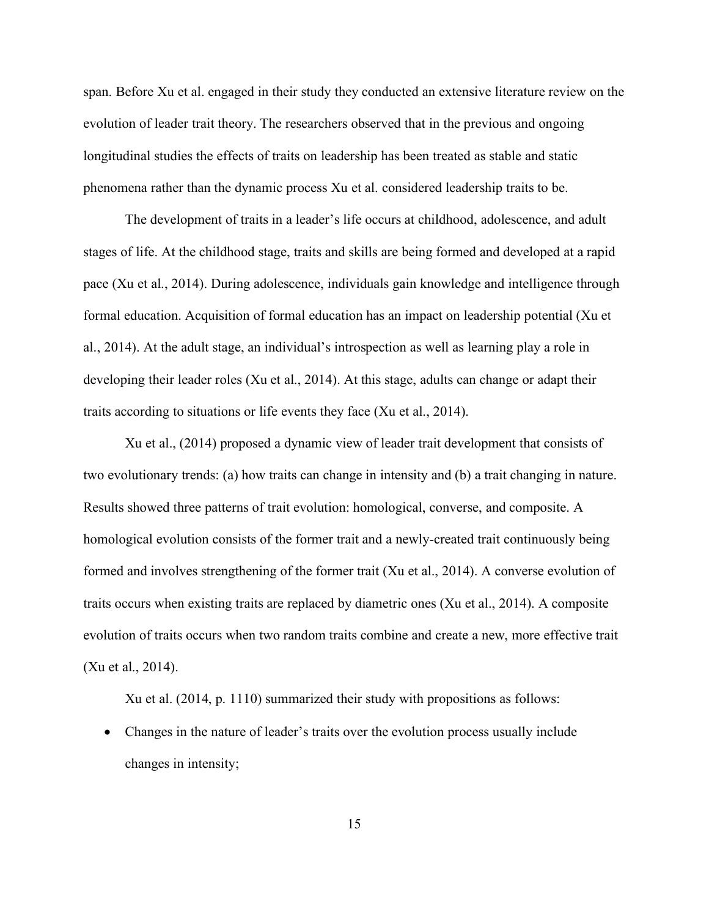span. Before Xu et al. engaged in their study they conducted an extensive literature review on the evolution of leader trait theory. The researchers observed that in the previous and ongoing longitudinal studies the effects of traits on leadership has been treated as stable and static phenomena rather than the dynamic process Xu et al. considered leadership traits to be.

The development of traits in a leader's life occurs at childhood, adolescence, and adult stages of life. At the childhood stage, traits and skills are being formed and developed at a rapid pace (Xu et al., 2014). During adolescence, individuals gain knowledge and intelligence through formal education. Acquisition of formal education has an impact on leadership potential (Xu et al., 2014). At the adult stage, an individual's introspection as well as learning play a role in developing their leader roles (Xu et al., 2014). At this stage, adults can change or adapt their traits according to situations or life events they face (Xu et al., 2014).

Xu et al., (2014) proposed a dynamic view of leader trait development that consists of two evolutionary trends: (a) how traits can change in intensity and (b) a trait changing in nature. Results showed three patterns of trait evolution: homological, converse, and composite. A homological evolution consists of the former trait and a newly-created trait continuously being formed and involves strengthening of the former trait (Xu et al., 2014). A converse evolution of traits occurs when existing traits are replaced by diametric ones (Xu et al., 2014). A composite evolution of traits occurs when two random traits combine and create a new, more effective trait (Xu et al., 2014).

Xu et al. (2014, p. 1110) summarized their study with propositions as follows:

• Changes in the nature of leader's traits over the evolution process usually include changes in intensity;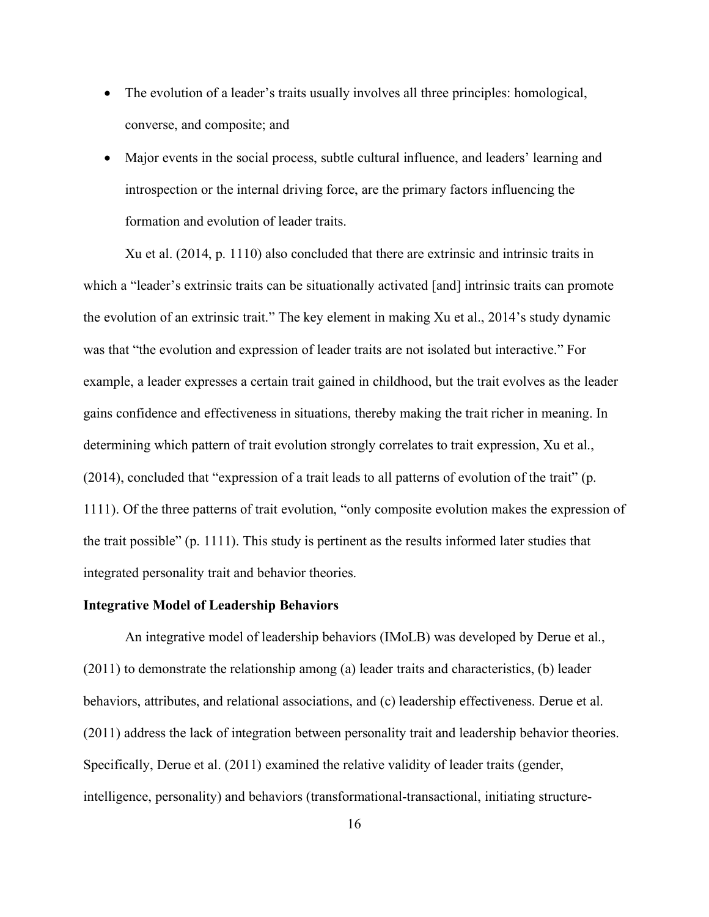- The evolution of a leader's traits usually involves all three principles: homological, converse, and composite; and
- Major events in the social process, subtle cultural influence, and leaders' learning and introspection or the internal driving force, are the primary factors influencing the formation and evolution of leader traits.

Xu et al. (2014, p. 1110) also concluded that there are extrinsic and intrinsic traits in which a "leader's extrinsic traits can be situationally activated [and] intrinsic traits can promote the evolution of an extrinsic trait." The key element in making Xu et al., 2014's study dynamic was that "the evolution and expression of leader traits are not isolated but interactive." For example, a leader expresses a certain trait gained in childhood, but the trait evolves as the leader gains confidence and effectiveness in situations, thereby making the trait richer in meaning. In determining which pattern of trait evolution strongly correlates to trait expression, Xu et al., (2014), concluded that "expression of a trait leads to all patterns of evolution of the trait" (p. 1111). Of the three patterns of trait evolution, "only composite evolution makes the expression of the trait possible" (p. 1111). This study is pertinent as the results informed later studies that integrated personality trait and behavior theories.

#### <span id="page-27-0"></span>**Integrative Model of Leadership Behaviors**

An integrative model of leadership behaviors (IMoLB) was developed by Derue et al., (2011) to demonstrate the relationship among (a) leader traits and characteristics, (b) leader behaviors, attributes, and relational associations, and (c) leadership effectiveness. Derue et al. (2011) address the lack of integration between personality trait and leadership behavior theories. Specifically, Derue et al. (2011) examined the relative validity of leader traits (gender, intelligence, personality) and behaviors (transformational-transactional, initiating structure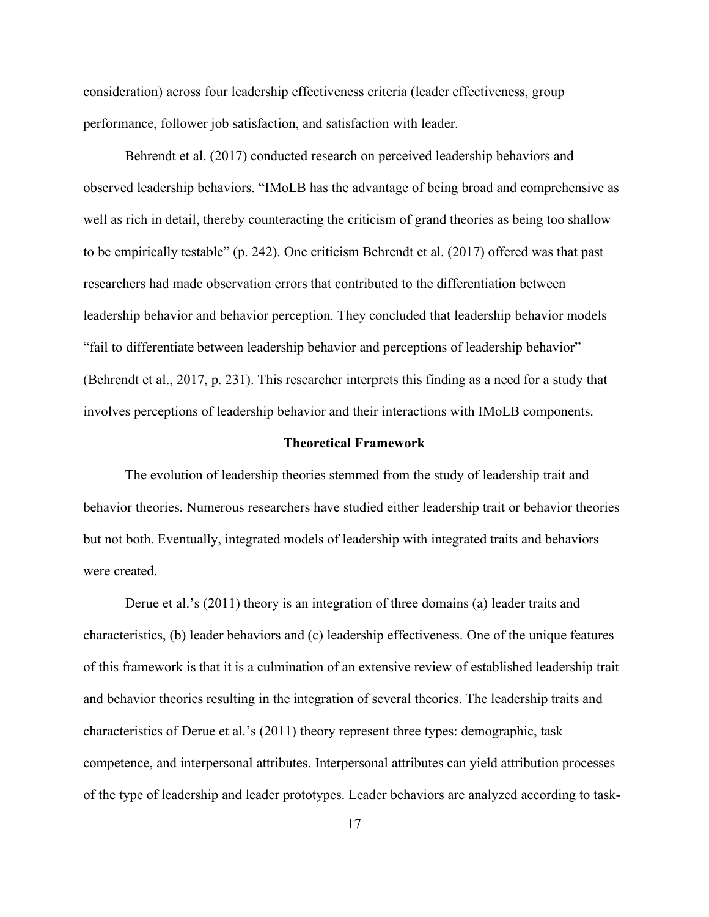consideration) across four leadership effectiveness criteria (leader effectiveness, group performance, follower job satisfaction, and satisfaction with leader.

Behrendt et al. (2017) conducted research on perceived leadership behaviors and observed leadership behaviors. "IMoLB has the advantage of being broad and comprehensive as well as rich in detail, thereby counteracting the criticism of grand theories as being too shallow to be empirically testable" (p. 242). One criticism Behrendt et al. (2017) offered was that past researchers had made observation errors that contributed to the differentiation between leadership behavior and behavior perception. They concluded that leadership behavior models "fail to differentiate between leadership behavior and perceptions of leadership behavior" (Behrendt et al., 2017, p. 231). This researcher interprets this finding as a need for a study that involves perceptions of leadership behavior and their interactions with IMoLB components.

#### **Theoretical Framework**

<span id="page-28-0"></span>The evolution of leadership theories stemmed from the study of leadership trait and behavior theories. Numerous researchers have studied either leadership trait or behavior theories but not both. Eventually, integrated models of leadership with integrated traits and behaviors were created.

Derue et al.'s (2011) theory is an integration of three domains (a) leader traits and characteristics, (b) leader behaviors and (c) leadership effectiveness. One of the unique features of this framework is that it is a culmination of an extensive review of established leadership trait and behavior theories resulting in the integration of several theories. The leadership traits and characteristics of Derue et al.'s (2011) theory represent three types: demographic, task competence, and interpersonal attributes. Interpersonal attributes can yield attribution processes of the type of leadership and leader prototypes. Leader behaviors are analyzed according to task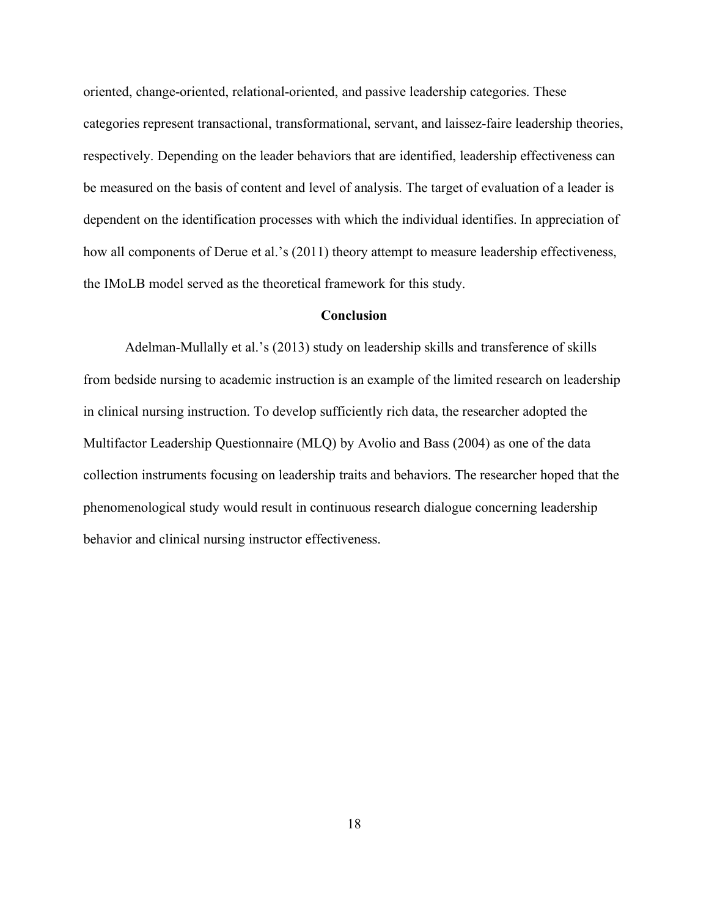oriented, change-oriented, relational-oriented, and passive leadership categories. These categories represent transactional, transformational, servant, and laissez-faire leadership theories, respectively. Depending on the leader behaviors that are identified, leadership effectiveness can be measured on the basis of content and level of analysis. The target of evaluation of a leader is dependent on the identification processes with which the individual identifies. In appreciation of how all components of Derue et al.'s (2011) theory attempt to measure leadership effectiveness, the IMoLB model served as the theoretical framework for this study.

#### **Conclusion**

<span id="page-29-0"></span>Adelman-Mullally et al.'s (2013) study on leadership skills and transference of skills from bedside nursing to academic instruction is an example of the limited research on leadership in clinical nursing instruction. To develop sufficiently rich data, the researcher adopted the Multifactor Leadership Questionnaire (MLQ) by Avolio and Bass (2004) as one of the data collection instruments focusing on leadership traits and behaviors. The researcher hoped that the phenomenological study would result in continuous research dialogue concerning leadership behavior and clinical nursing instructor effectiveness.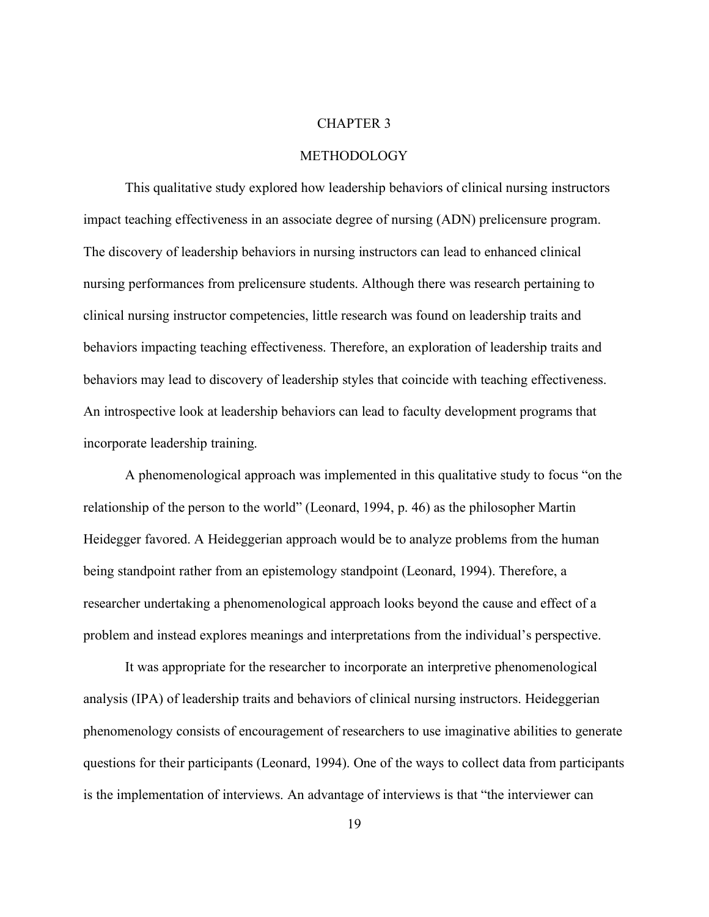#### CHAPTER 3

#### METHODOLOGY

<span id="page-30-0"></span>This qualitative study explored how leadership behaviors of clinical nursing instructors impact teaching effectiveness in an associate degree of nursing (ADN) prelicensure program. The discovery of leadership behaviors in nursing instructors can lead to enhanced clinical nursing performances from prelicensure students. Although there was research pertaining to clinical nursing instructor competencies, little research was found on leadership traits and behaviors impacting teaching effectiveness. Therefore, an exploration of leadership traits and behaviors may lead to discovery of leadership styles that coincide with teaching effectiveness. An introspective look at leadership behaviors can lead to faculty development programs that incorporate leadership training.

A phenomenological approach was implemented in this qualitative study to focus "on the relationship of the person to the world" (Leonard, 1994, p. 46) as the philosopher Martin Heidegger favored. A Heideggerian approach would be to analyze problems from the human being standpoint rather from an epistemology standpoint (Leonard, 1994). Therefore, a researcher undertaking a phenomenological approach looks beyond the cause and effect of a problem and instead explores meanings and interpretations from the individual's perspective.

It was appropriate for the researcher to incorporate an interpretive phenomenological analysis (IPA) of leadership traits and behaviors of clinical nursing instructors. Heideggerian phenomenology consists of encouragement of researchers to use imaginative abilities to generate questions for their participants (Leonard, 1994). One of the ways to collect data from participants is the implementation of interviews. An advantage of interviews is that "the interviewer can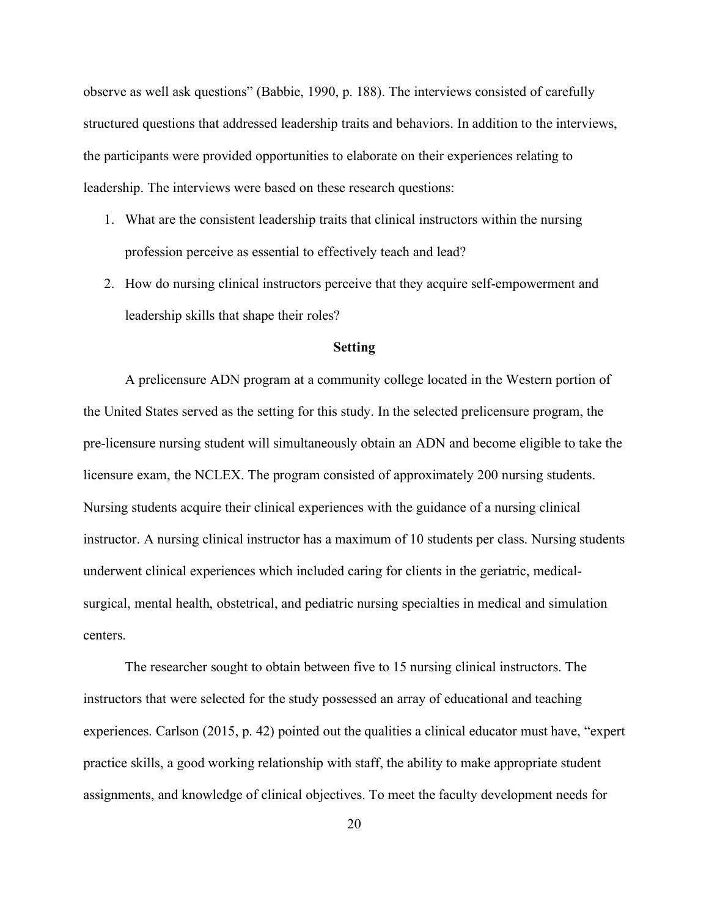observe as well ask questions" (Babbie, 1990, p. 188). The interviews consisted of carefully structured questions that addressed leadership traits and behaviors. In addition to the interviews, the participants were provided opportunities to elaborate on their experiences relating to leadership. The interviews were based on these research questions:

- 1. What are the consistent leadership traits that clinical instructors within the nursing profession perceive as essential to effectively teach and lead?
- 2. How do nursing clinical instructors perceive that they acquire self-empowerment and leadership skills that shape their roles?

#### **Setting**

<span id="page-31-0"></span>A prelicensure ADN program at a community college located in the Western portion of the United States served as the setting for this study. In the selected prelicensure program, the pre-licensure nursing student will simultaneously obtain an ADN and become eligible to take the licensure exam, the NCLEX. The program consisted of approximately 200 nursing students. Nursing students acquire their clinical experiences with the guidance of a nursing clinical instructor. A nursing clinical instructor has a maximum of 10 students per class. Nursing students underwent clinical experiences which included caring for clients in the geriatric, medicalsurgical, mental health, obstetrical, and pediatric nursing specialties in medical and simulation centers.

The researcher sought to obtain between five to 15 nursing clinical instructors. The instructors that were selected for the study possessed an array of educational and teaching experiences. Carlson (2015, p. 42) pointed out the qualities a clinical educator must have, "expert practice skills, a good working relationship with staff, the ability to make appropriate student assignments, and knowledge of clinical objectives. To meet the faculty development needs for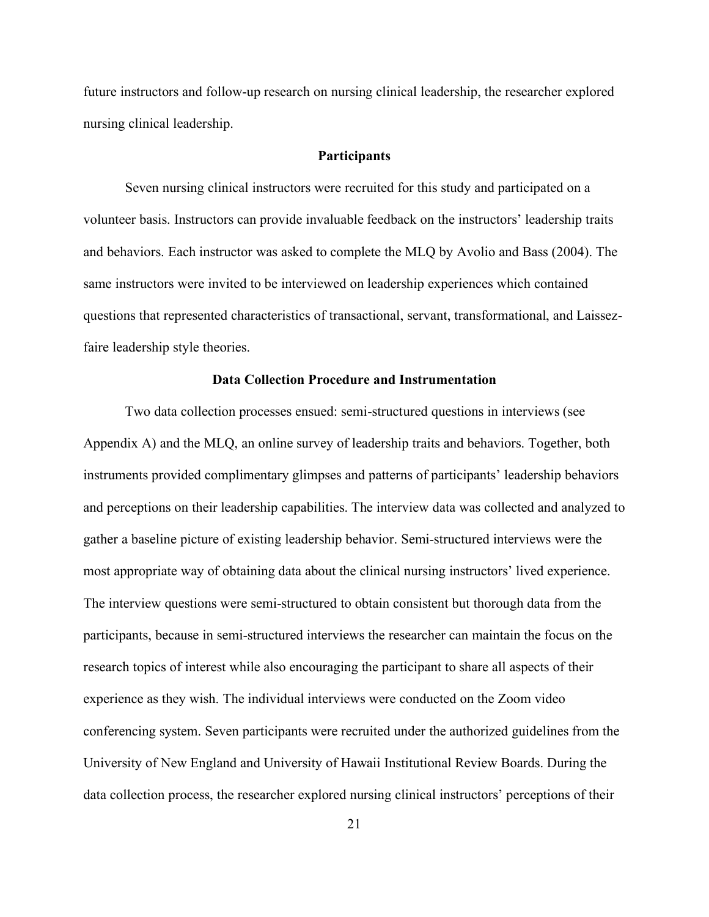future instructors and follow-up research on nursing clinical leadership, the researcher explored nursing clinical leadership.

#### **Participants**

<span id="page-32-0"></span>Seven nursing clinical instructors were recruited for this study and participated on a volunteer basis. Instructors can provide invaluable feedback on the instructors' leadership traits and behaviors. Each instructor was asked to complete the MLQ by Avolio and Bass (2004). The same instructors were invited to be interviewed on leadership experiences which contained questions that represented characteristics of transactional, servant, transformational, and Laissezfaire leadership style theories.

#### **Data Collection Procedure and Instrumentation**

<span id="page-32-1"></span>Two data collection processes ensued: semi-structured questions in interviews (see Appendix A) and the MLQ, an online survey of leadership traits and behaviors. Together, both instruments provided complimentary glimpses and patterns of participants' leadership behaviors and perceptions on their leadership capabilities. The interview data was collected and analyzed to gather a baseline picture of existing leadership behavior. Semi-structured interviews were the most appropriate way of obtaining data about the clinical nursing instructors' lived experience. The interview questions were semi-structured to obtain consistent but thorough data from the participants, because in semi-structured interviews the researcher can maintain the focus on the research topics of interest while also encouraging the participant to share all aspects of their experience as they wish. The individual interviews were conducted on the Zoom video conferencing system. Seven participants were recruited under the authorized guidelines from the University of New England and University of Hawaii Institutional Review Boards. During the data collection process, the researcher explored nursing clinical instructors' perceptions of their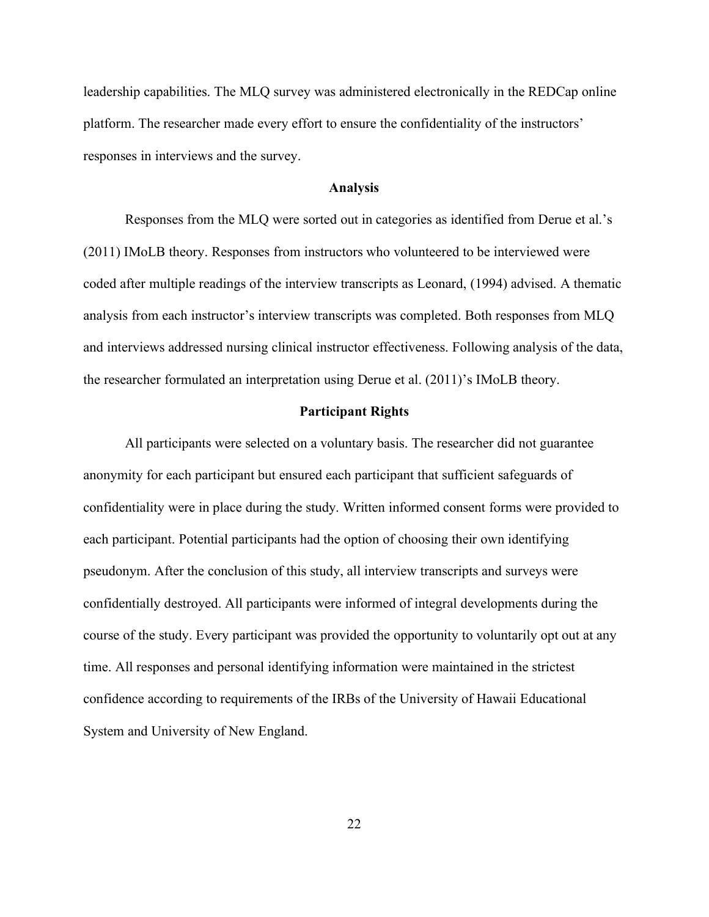leadership capabilities. The MLQ survey was administered electronically in the REDCap online platform. The researcher made every effort to ensure the confidentiality of the instructors' responses in interviews and the survey.

#### **Analysis**

<span id="page-33-0"></span>Responses from the MLQ were sorted out in categories as identified from Derue et al.'s (2011) IMoLB theory. Responses from instructors who volunteered to be interviewed were coded after multiple readings of the interview transcripts as Leonard, (1994) advised. A thematic analysis from each instructor's interview transcripts was completed. Both responses from MLQ and interviews addressed nursing clinical instructor effectiveness. Following analysis of the data, the researcher formulated an interpretation using Derue et al. (2011)'s IMoLB theory.

#### **Participant Rights**

<span id="page-33-1"></span>All participants were selected on a voluntary basis. The researcher did not guarantee anonymity for each participant but ensured each participant that sufficient safeguards of confidentiality were in place during the study. Written informed consent forms were provided to each participant. Potential participants had the option of choosing their own identifying pseudonym. After the conclusion of this study, all interview transcripts and surveys were confidentially destroyed. All participants were informed of integral developments during the course of the study. Every participant was provided the opportunity to voluntarily opt out at any time. All responses and personal identifying information were maintained in the strictest confidence according to requirements of the IRBs of the University of Hawaii Educational System and University of New England.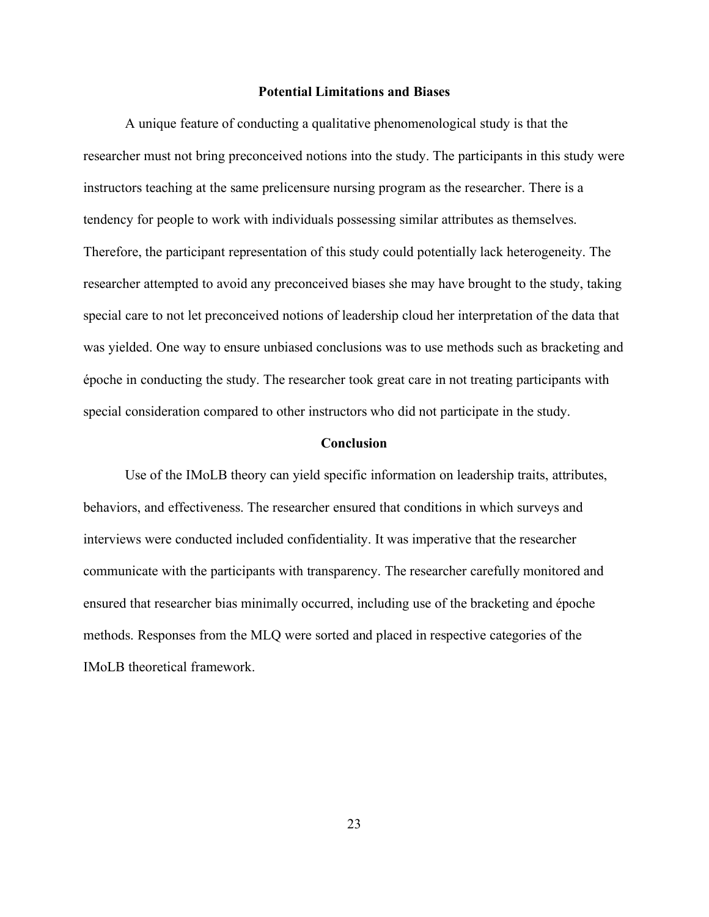#### **Potential Limitations and Biases**

<span id="page-34-0"></span>A unique feature of conducting a qualitative phenomenological study is that the researcher must not bring preconceived notions into the study. The participants in this study were instructors teaching at the same prelicensure nursing program as the researcher. There is a tendency for people to work with individuals possessing similar attributes as themselves. Therefore, the participant representation of this study could potentially lack heterogeneity. The researcher attempted to avoid any preconceived biases she may have brought to the study, taking special care to not let preconceived notions of leadership cloud her interpretation of the data that was yielded. One way to ensure unbiased conclusions was to use methods such as bracketing and époche in conducting the study. The researcher took great care in not treating participants with special consideration compared to other instructors who did not participate in the study.

#### **Conclusion**

<span id="page-34-1"></span>Use of the IMoLB theory can yield specific information on leadership traits, attributes, behaviors, and effectiveness. The researcher ensured that conditions in which surveys and interviews were conducted included confidentiality. It was imperative that the researcher communicate with the participants with transparency. The researcher carefully monitored and ensured that researcher bias minimally occurred, including use of the bracketing and époche methods. Responses from the MLQ were sorted and placed in respective categories of the IMoLB theoretical framework.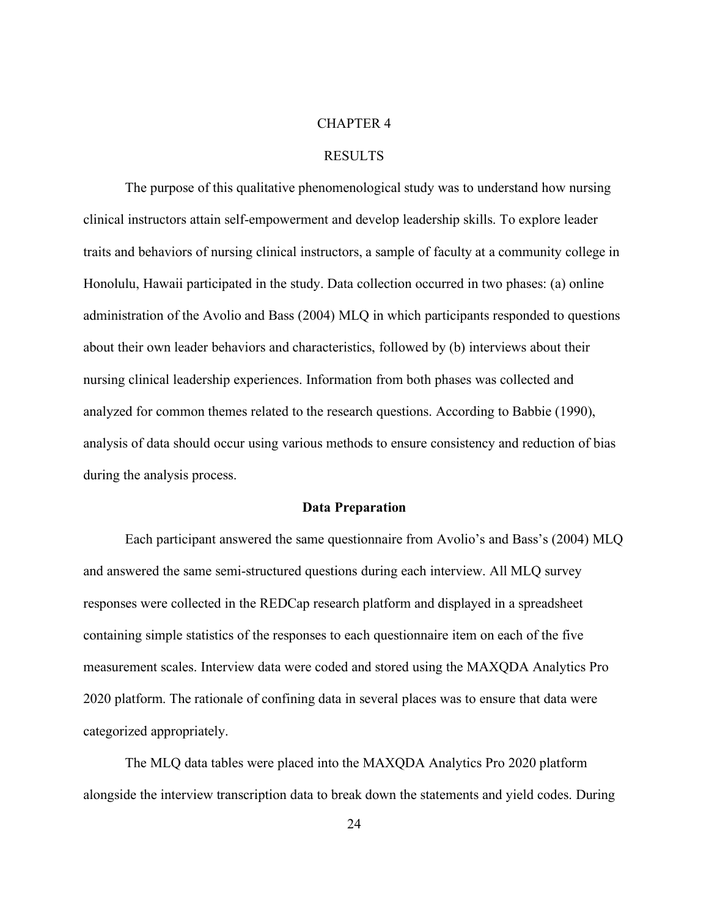#### CHAPTER 4

#### RESULTS

<span id="page-35-0"></span>The purpose of this qualitative phenomenological study was to understand how nursing clinical instructors attain self-empowerment and develop leadership skills. To explore leader traits and behaviors of nursing clinical instructors, a sample of faculty at a community college in Honolulu, Hawaii participated in the study. Data collection occurred in two phases: (a) online administration of the Avolio and Bass (2004) MLQ in which participants responded to questions about their own leader behaviors and characteristics, followed by (b) interviews about their nursing clinical leadership experiences. Information from both phases was collected and analyzed for common themes related to the research questions. According to Babbie (1990), analysis of data should occur using various methods to ensure consistency and reduction of bias during the analysis process.

#### **Data Preparation**

<span id="page-35-1"></span>Each participant answered the same questionnaire from Avolio's and Bass's (2004) MLQ and answered the same semi-structured questions during each interview. All MLQ survey responses were collected in the REDCap research platform and displayed in a spreadsheet containing simple statistics of the responses to each questionnaire item on each of the five measurement scales. Interview data were coded and stored using the MAXQDA Analytics Pro 2020 platform. The rationale of confining data in several places was to ensure that data were categorized appropriately.

The MLQ data tables were placed into the MAXQDA Analytics Pro 2020 platform alongside the interview transcription data to break down the statements and yield codes. During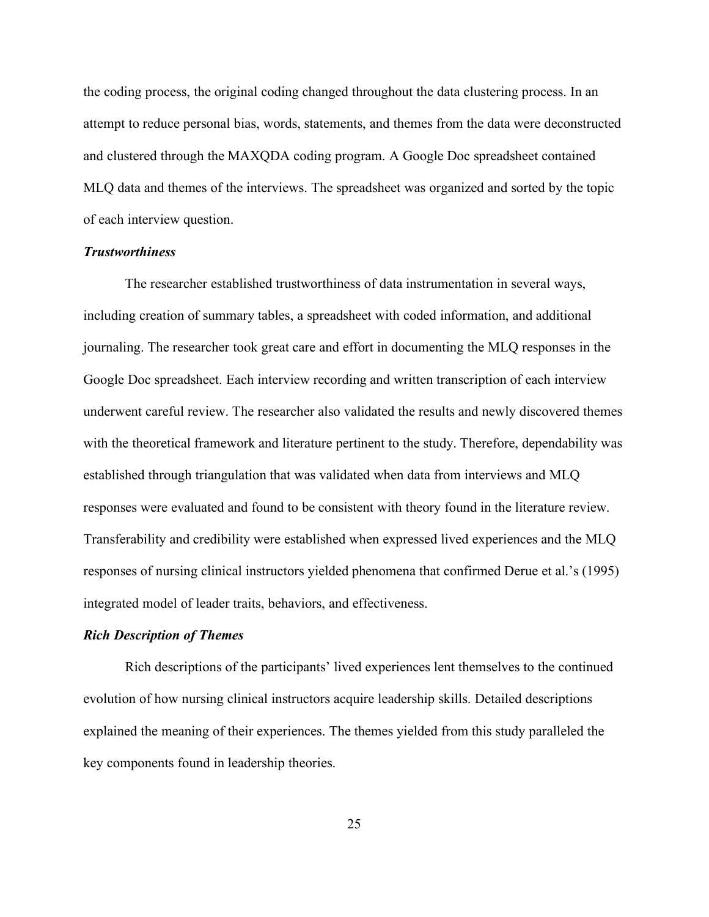the coding process, the original coding changed throughout the data clustering process. In an attempt to reduce personal bias, words, statements, and themes from the data were deconstructed and clustered through the MAXQDA coding program. A Google Doc spreadsheet contained MLQ data and themes of the interviews. The spreadsheet was organized and sorted by the topic of each interview question.

#### <span id="page-36-0"></span>*Trustworthiness*

The researcher established trustworthiness of data instrumentation in several ways, including creation of summary tables, a spreadsheet with coded information, and additional journaling. The researcher took great care and effort in documenting the MLQ responses in the Google Doc spreadsheet. Each interview recording and written transcription of each interview underwent careful review. The researcher also validated the results and newly discovered themes with the theoretical framework and literature pertinent to the study. Therefore, dependability was established through triangulation that was validated when data from interviews and MLQ responses were evaluated and found to be consistent with theory found in the literature review. Transferability and credibility were established when expressed lived experiences and the MLQ responses of nursing clinical instructors yielded phenomena that confirmed Derue et al.'s (1995) integrated model of leader traits, behaviors, and effectiveness.

#### <span id="page-36-1"></span>*Rich Description of Themes*

Rich descriptions of the participants' lived experiences lent themselves to the continued evolution of how nursing clinical instructors acquire leadership skills. Detailed descriptions explained the meaning of their experiences. The themes yielded from this study paralleled the key components found in leadership theories.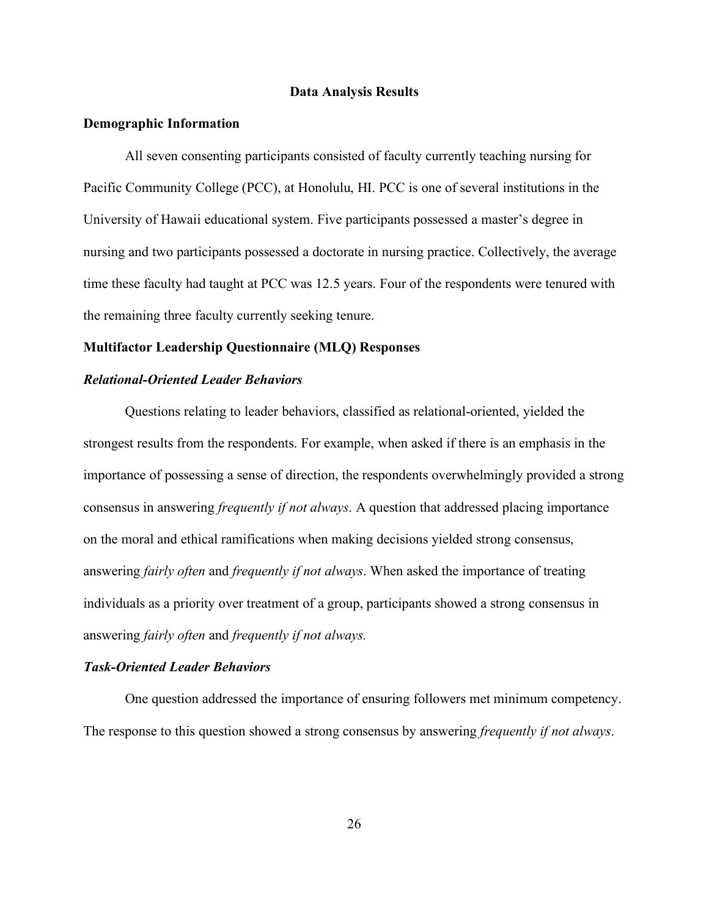#### **Data Analysis Results**

#### <span id="page-37-1"></span><span id="page-37-0"></span>**Demographic Information**

All seven consenting participants consisted of faculty currently teaching nursing for Pacific Community College (PCC), at Honolulu, HI. PCC is one of several institutions in the University of Hawaii educational system. Five participants possessed a master's degree in nursing and two participants possessed a doctorate in nursing practice. Collectively, the average time these faculty had taught at PCC was 12.5 years. Four of the respondents were tenured with the remaining three faculty currently seeking tenure.

#### <span id="page-37-2"></span>**Multifactor Leadership Questionnaire (MLQ) Responses**

#### *Relational-Oriented Leader Behaviors*

Questions relating to leader behaviors, classified as relational-oriented, yielded the strongest results from the respondents. For example, when asked if there is an emphasis in the importance of possessing a sense of direction, the respondents overwhelmingly provided a strong consensus in answering *frequently if not always*. A question that addressed placing importance on the moral and ethical ramifications when making decisions yielded strong consensus, answering *fairly often* and *frequently if not always*. When asked the importance of treating individuals as a priority over treatment of a group, participants showed a strong consensus in answering *fairly often* and *frequently if not always.*

#### *Task-Oriented Leader Behaviors*

One question addressed the importance of ensuring followers met minimum competency. The response to this question showed a strong consensus by answering *frequently if not always*.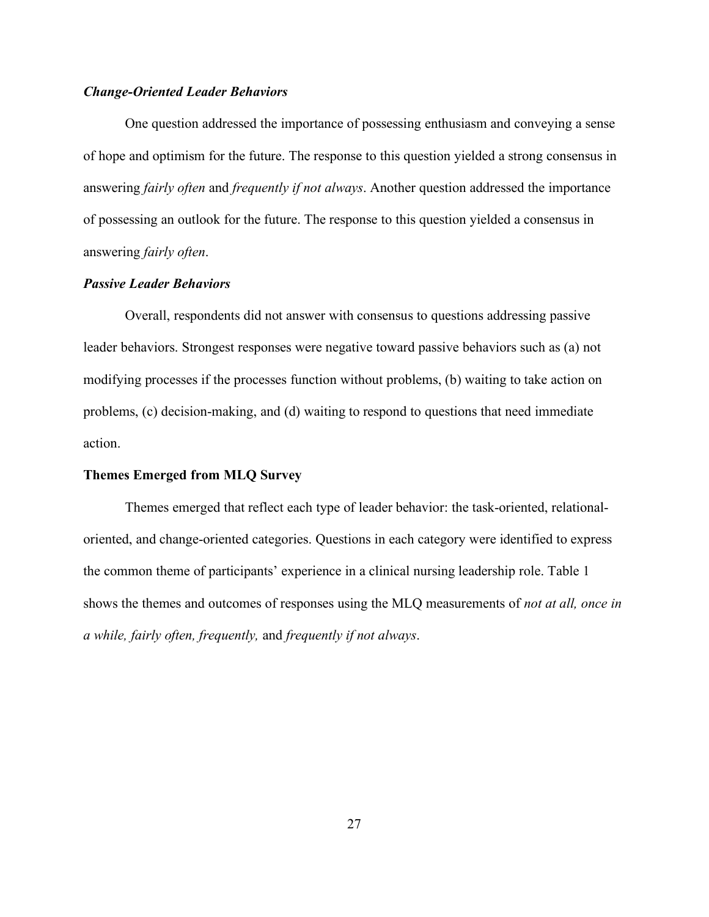#### *Change-Oriented Leader Behaviors*

One question addressed the importance of possessing enthusiasm and conveying a sense of hope and optimism for the future. The response to this question yielded a strong consensus in answering *fairly often* and *frequently if not always*. Another question addressed the importance of possessing an outlook for the future. The response to this question yielded a consensus in answering *fairly often*.

#### *Passive Leader Behaviors*

Overall, respondents did not answer with consensus to questions addressing passive leader behaviors. Strongest responses were negative toward passive behaviors such as (a) not modifying processes if the processes function without problems, (b) waiting to take action on problems, (c) decision-making, and (d) waiting to respond to questions that need immediate action.

#### <span id="page-38-0"></span>**Themes Emerged from MLQ Survey**

Themes emerged that reflect each type of leader behavior: the task-oriented, relationaloriented, and change-oriented categories. Questions in each category were identified to express the common theme of participants' experience in a clinical nursing leadership role. [Table 1](#page-39-1) shows the themes and outcomes of responses using the MLQ measurements of *not at all, once in a while, fairly often, frequently,* and *frequently if not always*.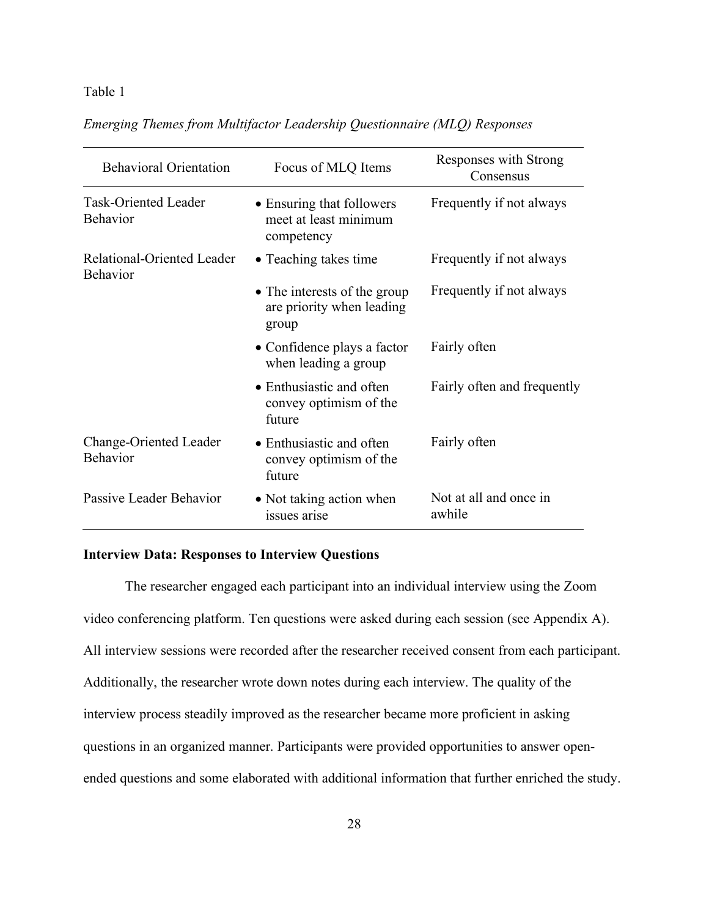#### <span id="page-39-1"></span>Table 1

|  | Emerging Themes from Multifactor Leadership Questionnaire (MLQ) Responses |  |
|--|---------------------------------------------------------------------------|--|
|  |                                                                           |  |

| <b>Behavioral Orientation</b><br>Focus of MLQ Items |                                                                    | Responses with Strong<br>Consensus |  |
|-----------------------------------------------------|--------------------------------------------------------------------|------------------------------------|--|
| <b>Task-Oriented Leader</b><br>Behavior             | • Ensuring that followers<br>meet at least minimum<br>competency   | Frequently if not always           |  |
| Relational-Oriented Leader<br><b>Behavior</b>       | • Teaching takes time                                              | Frequently if not always           |  |
|                                                     | • The interests of the group<br>are priority when leading<br>group | Frequently if not always           |  |
|                                                     | • Confidence plays a factor<br>when leading a group                | Fairly often                       |  |
|                                                     | • Enthusiastic and often<br>convey optimism of the<br>future       | Fairly often and frequently        |  |
| Change-Oriented Leader<br><b>Behavior</b>           | • Enthusiastic and often<br>convey optimism of the<br>future       | Fairly often                       |  |
| Passive Leader Behavior                             | • Not taking action when<br>issues arise                           | Not at all and once in<br>awhile   |  |

#### <span id="page-39-0"></span>**Interview Data: Responses to Interview Questions**

The researcher engaged each participant into an individual interview using the Zoom video conferencing platform. Ten questions were asked during each session (see Appendix A). All interview sessions were recorded after the researcher received consent from each participant. Additionally, the researcher wrote down notes during each interview. The quality of the interview process steadily improved as the researcher became more proficient in asking questions in an organized manner. Participants were provided opportunities to answer openended questions and some elaborated with additional information that further enriched the study.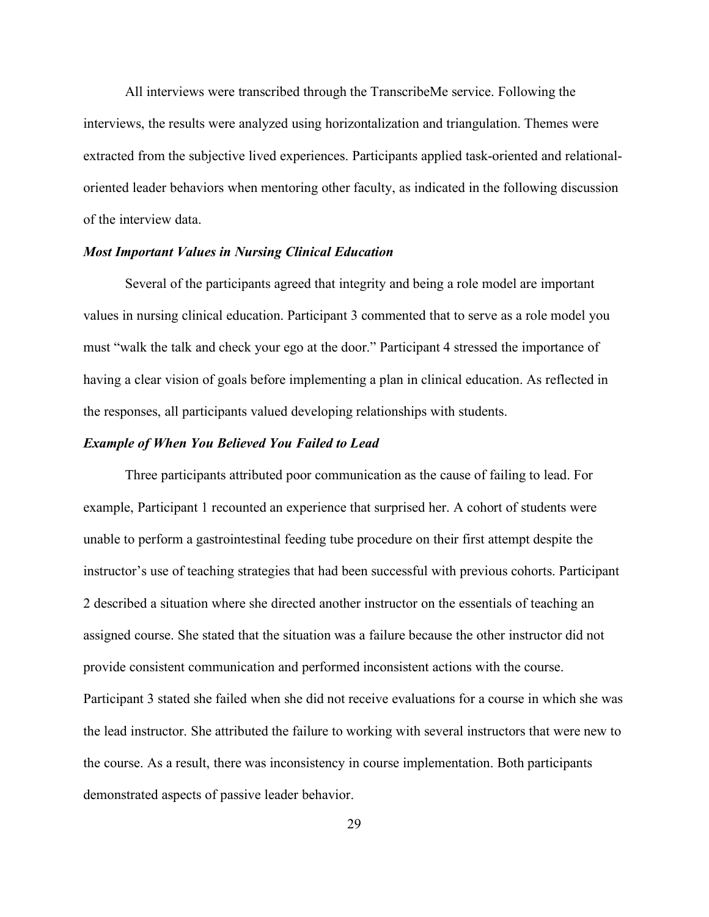All interviews were transcribed through the TranscribeMe service. Following the interviews, the results were analyzed using horizontalization and triangulation. Themes were extracted from the subjective lived experiences. Participants applied task-oriented and relationaloriented leader behaviors when mentoring other faculty, as indicated in the following discussion of the interview data.

#### *Most Important Values in Nursing Clinical Education*

Several of the participants agreed that integrity and being a role model are important values in nursing clinical education. Participant 3 commented that to serve as a role model you must "walk the talk and check your ego at the door." Participant 4 stressed the importance of having a clear vision of goals before implementing a plan in clinical education. As reflected in the responses, all participants valued developing relationships with students.

#### *Example of When You Believed You Failed to Lead*

Three participants attributed poor communication as the cause of failing to lead. For example, Participant 1 recounted an experience that surprised her. A cohort of students were unable to perform a gastrointestinal feeding tube procedure on their first attempt despite the instructor's use of teaching strategies that had been successful with previous cohorts. Participant 2 described a situation where she directed another instructor on the essentials of teaching an assigned course. She stated that the situation was a failure because the other instructor did not provide consistent communication and performed inconsistent actions with the course. Participant 3 stated she failed when she did not receive evaluations for a course in which she was the lead instructor. She attributed the failure to working with several instructors that were new to the course. As a result, there was inconsistency in course implementation. Both participants demonstrated aspects of passive leader behavior.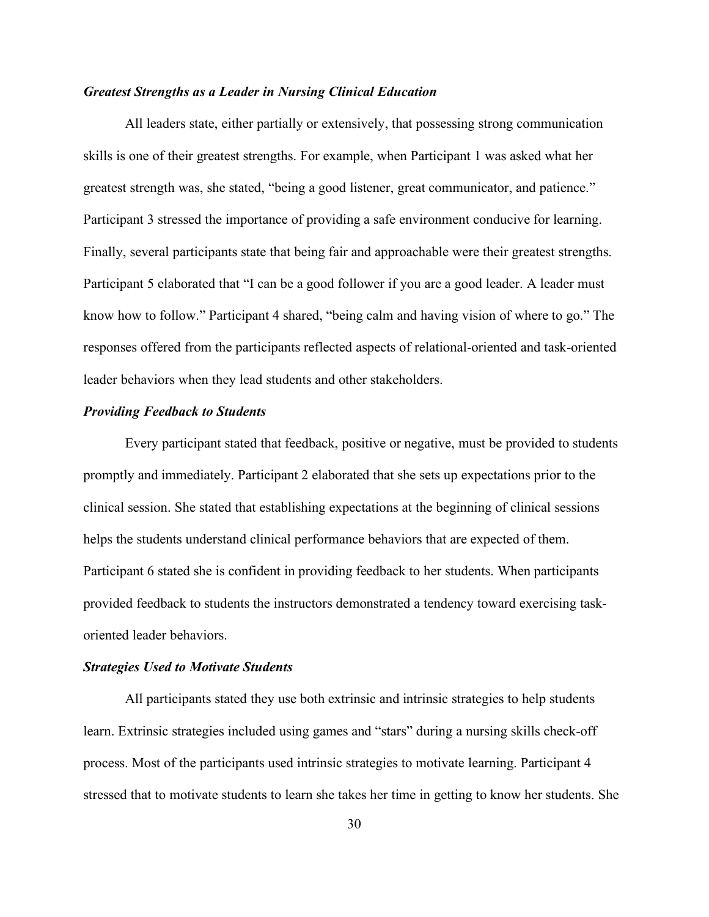#### *Greatest Strengths as a Leader in Nursing Clinical Education*

All leaders state, either partially or extensively, that possessing strong communication skills is one of their greatest strengths. For example, when Participant 1 was asked what her greatest strength was, she stated, "being a good listener, great communicator, and patience." Participant 3 stressed the importance of providing a safe environment conducive for learning. Finally, several participants state that being fair and approachable were their greatest strengths. Participant 5 elaborated that "I can be a good follower if you are a good leader. A leader must know how to follow." Participant 4 shared, "being calm and having vision of where to go." The responses offered from the participants reflected aspects of relational-oriented and task-oriented leader behaviors when they lead students and other stakeholders.

#### *Providing Feedback to Students*

Every participant stated that feedback, positive or negative, must be provided to students promptly and immediately. Participant 2 elaborated that she sets up expectations prior to the clinical session. She stated that establishing expectations at the beginning of clinical sessions helps the students understand clinical performance behaviors that are expected of them. Participant 6 stated she is confident in providing feedback to her students. When participants provided feedback to students the instructors demonstrated a tendency toward exercising taskoriented leader behaviors.

#### *Strategies Used to Motivate Students*

All participants stated they use both extrinsic and intrinsic strategies to help students learn. Extrinsic strategies included using games and "stars" during a nursing skills check-off process. Most of the participants used intrinsic strategies to motivate learning. Participant 4 stressed that to motivate students to learn she takes her time in getting to know her students. She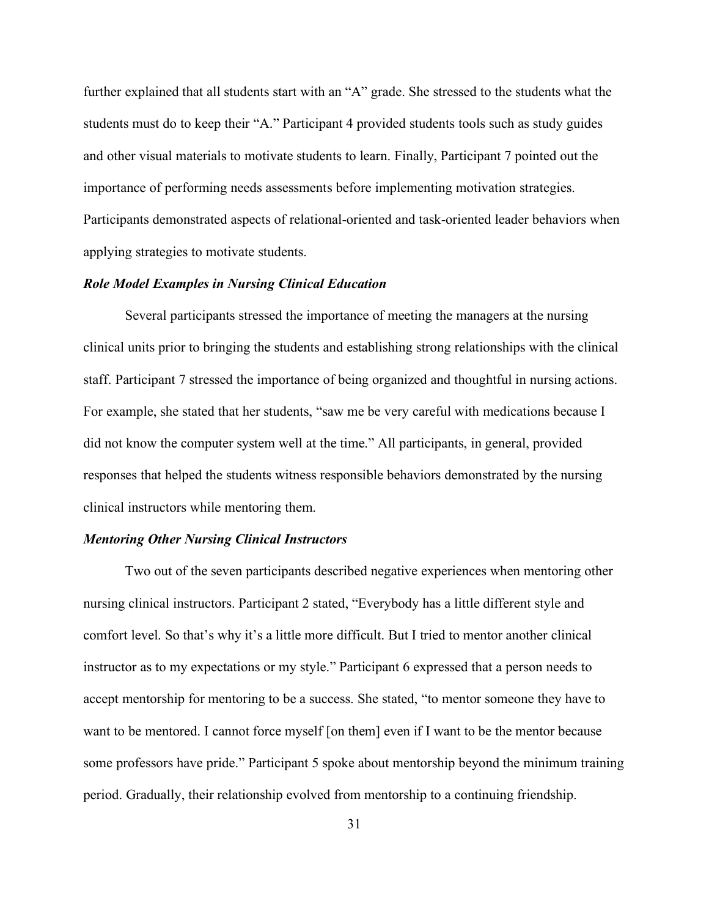further explained that all students start with an "A" grade. She stressed to the students what the students must do to keep their "A." Participant 4 provided students tools such as study guides and other visual materials to motivate students to learn. Finally, Participant 7 pointed out the importance of performing needs assessments before implementing motivation strategies. Participants demonstrated aspects of relational-oriented and task-oriented leader behaviors when applying strategies to motivate students.

#### *Role Model Examples in Nursing Clinical Education*

Several participants stressed the importance of meeting the managers at the nursing clinical units prior to bringing the students and establishing strong relationships with the clinical staff. Participant 7 stressed the importance of being organized and thoughtful in nursing actions. For example, she stated that her students, "saw me be very careful with medications because I did not know the computer system well at the time." All participants, in general, provided responses that helped the students witness responsible behaviors demonstrated by the nursing clinical instructors while mentoring them.

#### *Mentoring Other Nursing Clinical Instructors*

Two out of the seven participants described negative experiences when mentoring other nursing clinical instructors. Participant 2 stated, "Everybody has a little different style and comfort level. So that's why it's a little more difficult. But I tried to mentor another clinical instructor as to my expectations or my style." Participant 6 expressed that a person needs to accept mentorship for mentoring to be a success. She stated, "to mentor someone they have to want to be mentored. I cannot force myself [on them] even if I want to be the mentor because some professors have pride." Participant 5 spoke about mentorship beyond the minimum training period. Gradually, their relationship evolved from mentorship to a continuing friendship.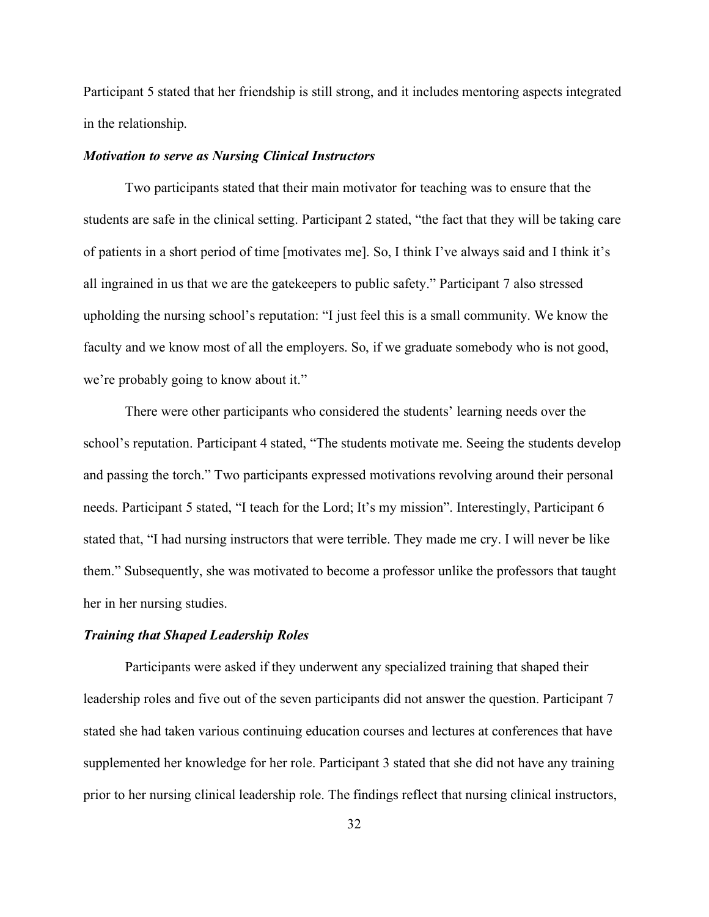Participant 5 stated that her friendship is still strong, and it includes mentoring aspects integrated in the relationship.

#### *Motivation to serve as Nursing Clinical Instructors*

Two participants stated that their main motivator for teaching was to ensure that the students are safe in the clinical setting. Participant 2 stated, "the fact that they will be taking care of patients in a short period of time [motivates me]. So, I think I've always said and I think it's all ingrained in us that we are the gatekeepers to public safety." Participant 7 also stressed upholding the nursing school's reputation: "I just feel this is a small community. We know the faculty and we know most of all the employers. So, if we graduate somebody who is not good, we're probably going to know about it."

There were other participants who considered the students' learning needs over the school's reputation. Participant 4 stated, "The students motivate me. Seeing the students develop and passing the torch." Two participants expressed motivations revolving around their personal needs. Participant 5 stated, "I teach for the Lord; It's my mission". Interestingly, Participant 6 stated that, "I had nursing instructors that were terrible. They made me cry. I will never be like them." Subsequently, she was motivated to become a professor unlike the professors that taught her in her nursing studies.

#### *Training that Shaped Leadership Roles*

Participants were asked if they underwent any specialized training that shaped their leadership roles and five out of the seven participants did not answer the question. Participant 7 stated she had taken various continuing education courses and lectures at conferences that have supplemented her knowledge for her role. Participant 3 stated that she did not have any training prior to her nursing clinical leadership role. The findings reflect that nursing clinical instructors,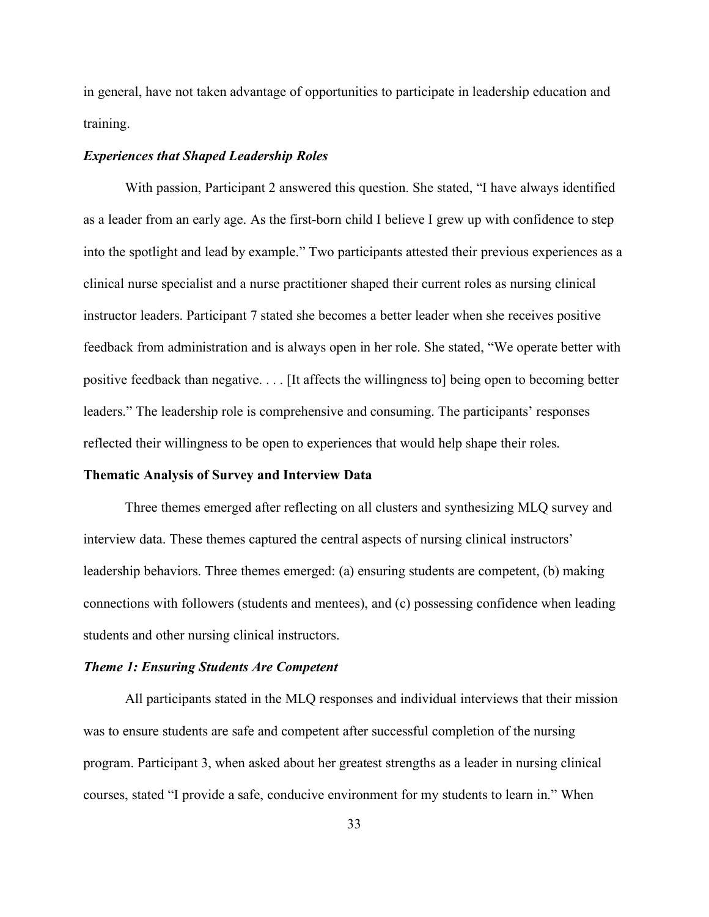in general, have not taken advantage of opportunities to participate in leadership education and training.

#### *Experiences that Shaped Leadership Roles*

With passion, Participant 2 answered this question. She stated, "I have always identified as a leader from an early age. As the first-born child I believe I grew up with confidence to step into the spotlight and lead by example." Two participants attested their previous experiences as a clinical nurse specialist and a nurse practitioner shaped their current roles as nursing clinical instructor leaders. Participant 7 stated she becomes a better leader when she receives positive feedback from administration and is always open in her role. She stated, "We operate better with positive feedback than negative. . . . [It affects the willingness to] being open to becoming better leaders." The leadership role is comprehensive and consuming. The participants' responses reflected their willingness to be open to experiences that would help shape their roles.

#### <span id="page-44-0"></span>**Thematic Analysis of Survey and Interview Data**

Three themes emerged after reflecting on all clusters and synthesizing MLQ survey and interview data. These themes captured the central aspects of nursing clinical instructors' leadership behaviors. Three themes emerged: (a) ensuring students are competent, (b) making connections with followers (students and mentees), and (c) possessing confidence when leading students and other nursing clinical instructors.

#### *Theme 1: Ensuring Students Are Competent*

All participants stated in the MLQ responses and individual interviews that their mission was to ensure students are safe and competent after successful completion of the nursing program. Participant 3, when asked about her greatest strengths as a leader in nursing clinical courses, stated "I provide a safe, conducive environment for my students to learn in." When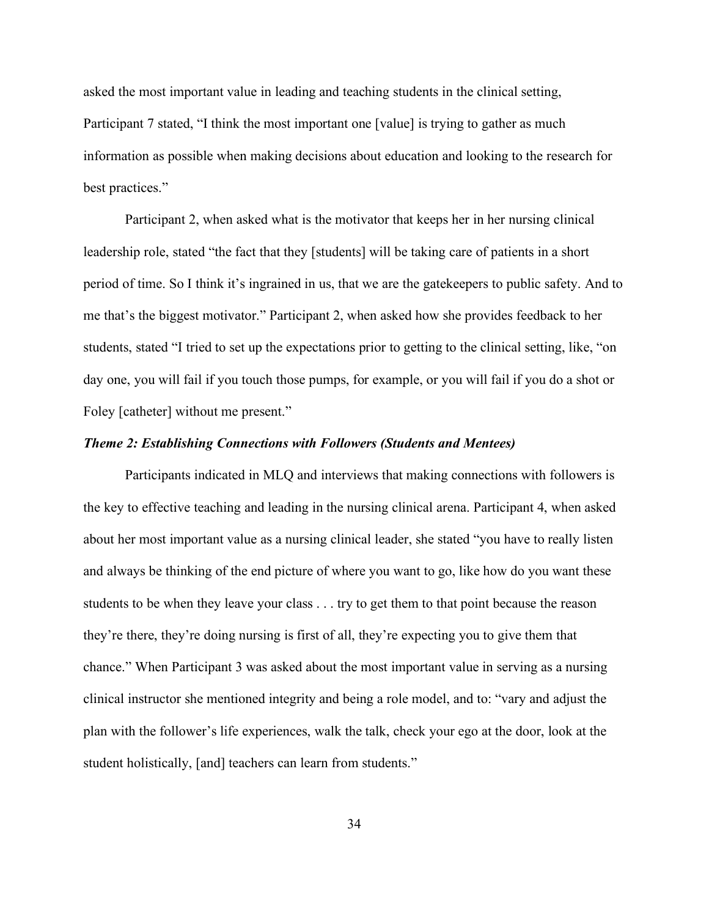asked the most important value in leading and teaching students in the clinical setting, Participant 7 stated, "I think the most important one [value] is trying to gather as much information as possible when making decisions about education and looking to the research for best practices."

Participant 2, when asked what is the motivator that keeps her in her nursing clinical leadership role, stated "the fact that they [students] will be taking care of patients in a short period of time. So I think it's ingrained in us, that we are the gatekeepers to public safety. And to me that's the biggest motivator." Participant 2, when asked how she provides feedback to her students, stated "I tried to set up the expectations prior to getting to the clinical setting, like, "on day one, you will fail if you touch those pumps, for example, or you will fail if you do a shot or Foley [catheter] without me present."

#### *Theme 2: Establishing Connections with Followers (Students and Mentees)*

Participants indicated in MLQ and interviews that making connections with followers is the key to effective teaching and leading in the nursing clinical arena. Participant 4, when asked about her most important value as a nursing clinical leader, she stated "you have to really listen and always be thinking of the end picture of where you want to go, like how do you want these students to be when they leave your class . . . try to get them to that point because the reason they're there, they're doing nursing is first of all, they're expecting you to give them that chance." When Participant 3 was asked about the most important value in serving as a nursing clinical instructor she mentioned integrity and being a role model, and to: "vary and adjust the plan with the follower's life experiences, walk the talk, check your ego at the door, look at the student holistically, [and] teachers can learn from students."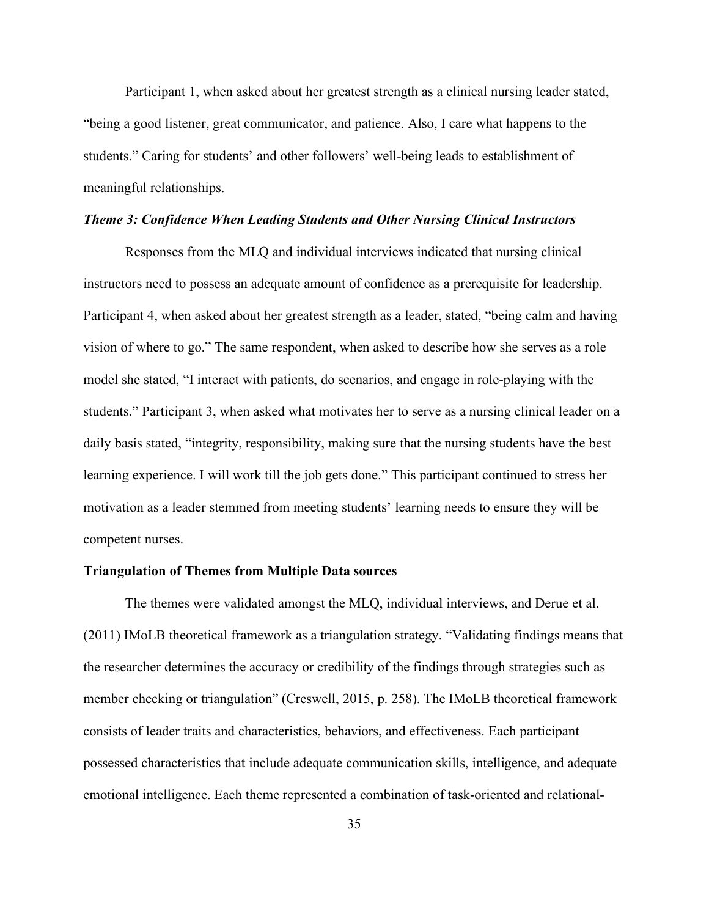Participant 1, when asked about her greatest strength as a clinical nursing leader stated, "being a good listener, great communicator, and patience. Also, I care what happens to the students." Caring for students' and other followers' well-being leads to establishment of meaningful relationships.

#### *Theme 3: Confidence When Leading Students and Other Nursing Clinical Instructors*

Responses from the MLQ and individual interviews indicated that nursing clinical instructors need to possess an adequate amount of confidence as a prerequisite for leadership. Participant 4, when asked about her greatest strength as a leader, stated, "being calm and having vision of where to go." The same respondent, when asked to describe how she serves as a role model she stated, "I interact with patients, do scenarios, and engage in role-playing with the students." Participant 3, when asked what motivates her to serve as a nursing clinical leader on a daily basis stated, "integrity, responsibility, making sure that the nursing students have the best learning experience. I will work till the job gets done." This participant continued to stress her motivation as a leader stemmed from meeting students' learning needs to ensure they will be competent nurses.

#### <span id="page-46-0"></span>**Triangulation of Themes from Multiple Data sources**

The themes were validated amongst the MLQ, individual interviews, and Derue et al. (2011) IMoLB theoretical framework as a triangulation strategy. "Validating findings means that the researcher determines the accuracy or credibility of the findings through strategies such as member checking or triangulation" (Creswell, 2015, p. 258). The IMoLB theoretical framework consists of leader traits and characteristics, behaviors, and effectiveness. Each participant possessed characteristics that include adequate communication skills, intelligence, and adequate emotional intelligence. Each theme represented a combination of task-oriented and relational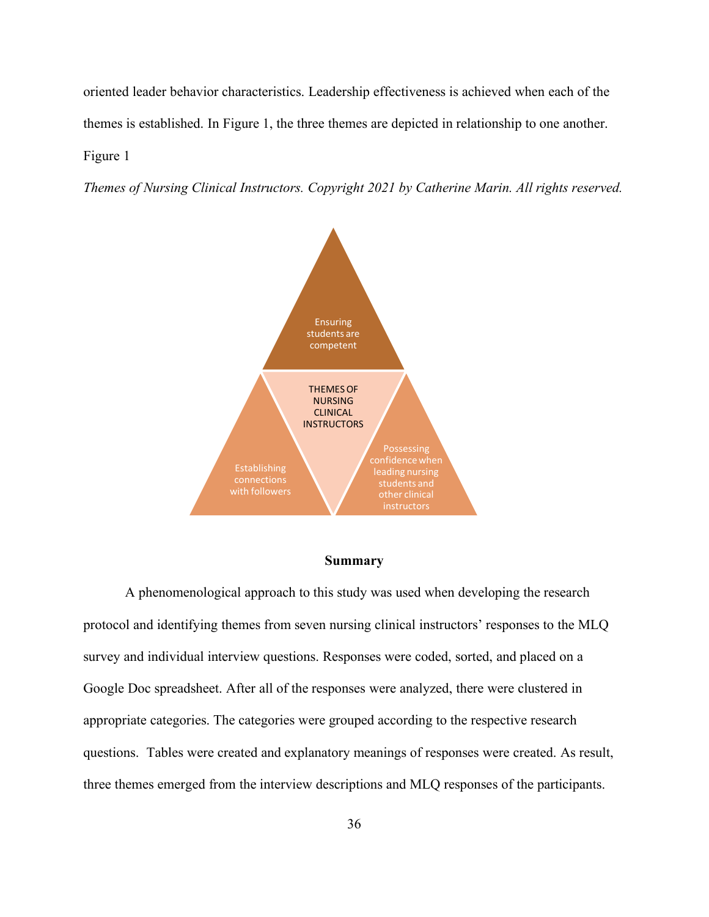oriented leader behavior characteristics. Leadership effectiveness is achieved when each of the themes is established. In [Figure 1,](#page-47-1) the three themes are depicted in relationship to one another. Figure 1

<span id="page-47-1"></span>*Themes of Nursing Clinical Instructors. Copyright 2021 by Catherine Marin. All rights reserved.* 



#### **Summary**

<span id="page-47-0"></span>A phenomenological approach to this study was used when developing the research protocol and identifying themes from seven nursing clinical instructors' responses to the MLQ survey and individual interview questions. Responses were coded, sorted, and placed on a Google Doc spreadsheet. After all of the responses were analyzed, there were clustered in appropriate categories. The categories were grouped according to the respective research questions. Tables were created and explanatory meanings of responses were created. As result, three themes emerged from the interview descriptions and MLQ responses of the participants.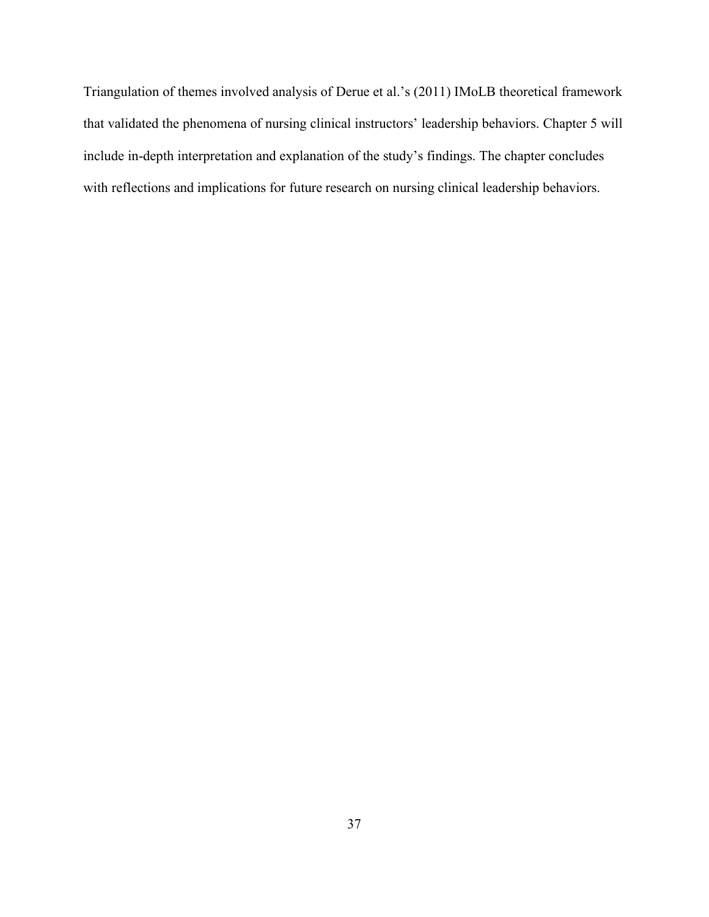Triangulation of themes involved analysis of Derue et al.'s (2011) IMoLB theoretical framework that validated the phenomena of nursing clinical instructors' leadership behaviors. Chapter 5 will include in-depth interpretation and explanation of the study's findings. The chapter concludes with reflections and implications for future research on nursing clinical leadership behaviors.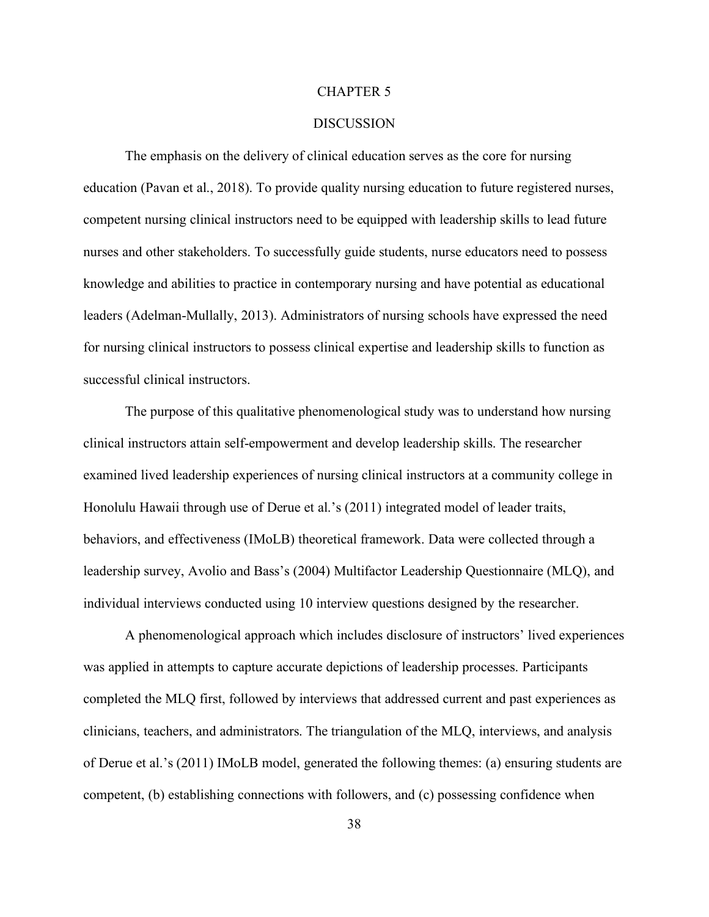#### CHAPTER 5

#### **DISCUSSION**

<span id="page-49-0"></span>The emphasis on the delivery of clinical education serves as the core for nursing education (Pavan et al., 2018). To provide quality nursing education to future registered nurses, competent nursing clinical instructors need to be equipped with leadership skills to lead future nurses and other stakeholders. To successfully guide students, nurse educators need to possess knowledge and abilities to practice in contemporary nursing and have potential as educational leaders (Adelman-Mullally, 2013). Administrators of nursing schools have expressed the need for nursing clinical instructors to possess clinical expertise and leadership skills to function as successful clinical instructors.

The purpose of this qualitative phenomenological study was to understand how nursing clinical instructors attain self-empowerment and develop leadership skills. The researcher examined lived leadership experiences of nursing clinical instructors at a community college in Honolulu Hawaii through use of Derue et al.'s (2011) integrated model of leader traits, behaviors, and effectiveness (IMoLB) theoretical framework. Data were collected through a leadership survey, Avolio and Bass's (2004) Multifactor Leadership Questionnaire (MLQ), and individual interviews conducted using 10 interview questions designed by the researcher.

A phenomenological approach which includes disclosure of instructors' lived experiences was applied in attempts to capture accurate depictions of leadership processes. Participants completed the MLQ first, followed by interviews that addressed current and past experiences as clinicians, teachers, and administrators. The triangulation of the MLQ, interviews, and analysis of Derue et al.'s (2011) IMoLB model, generated the following themes: (a) ensuring students are competent, (b) establishing connections with followers, and (c) possessing confidence when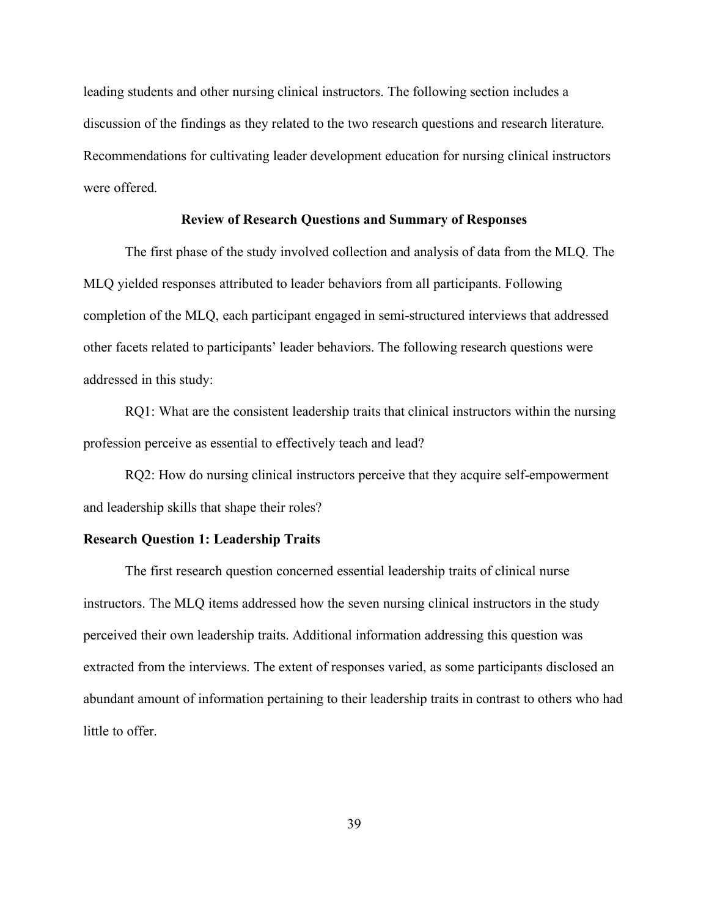leading students and other nursing clinical instructors. The following section includes a discussion of the findings as they related to the two research questions and research literature. Recommendations for cultivating leader development education for nursing clinical instructors were offered.

#### **Review of Research Questions and Summary of Responses**

<span id="page-50-0"></span>The first phase of the study involved collection and analysis of data from the MLQ. The MLQ yielded responses attributed to leader behaviors from all participants. Following completion of the MLQ, each participant engaged in semi-structured interviews that addressed other facets related to participants' leader behaviors. The following research questions were addressed in this study:

RQ1: What are the consistent leadership traits that clinical instructors within the nursing profession perceive as essential to effectively teach and lead?

RQ2: How do nursing clinical instructors perceive that they acquire self-empowerment and leadership skills that shape their roles?

#### <span id="page-50-1"></span>**Research Question 1: Leadership Traits**

The first research question concerned essential leadership traits of clinical nurse instructors. The MLQ items addressed how the seven nursing clinical instructors in the study perceived their own leadership traits. Additional information addressing this question was extracted from the interviews. The extent of responses varied, as some participants disclosed an abundant amount of information pertaining to their leadership traits in contrast to others who had little to offer.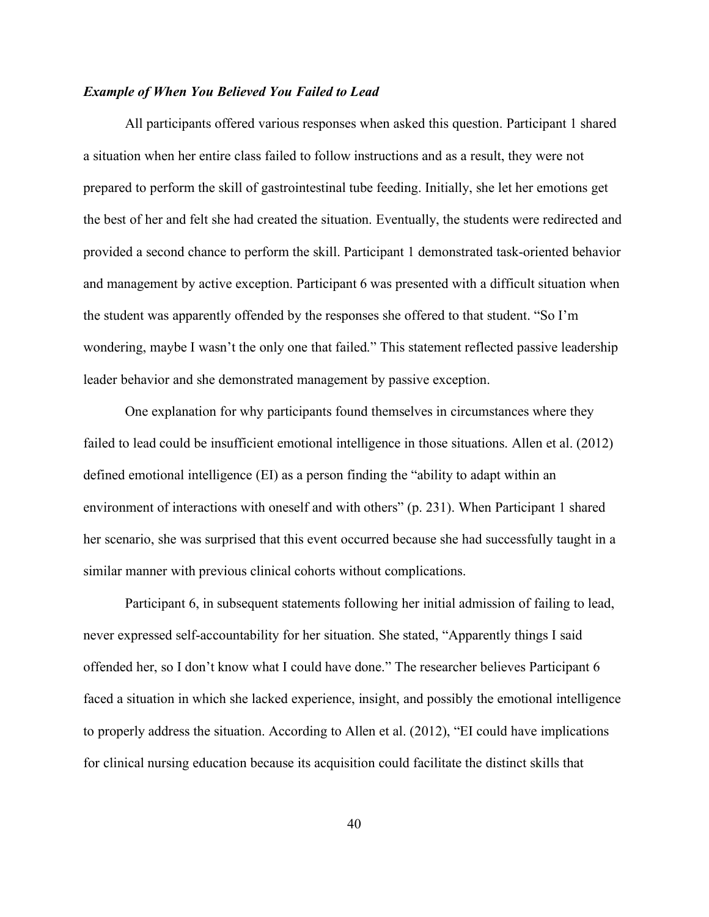#### *Example of When You Believed You Failed to Lead*

All participants offered various responses when asked this question. Participant 1 shared a situation when her entire class failed to follow instructions and as a result, they were not prepared to perform the skill of gastrointestinal tube feeding. Initially, she let her emotions get the best of her and felt she had created the situation. Eventually, the students were redirected and provided a second chance to perform the skill. Participant 1 demonstrated task-oriented behavior and management by active exception. Participant 6 was presented with a difficult situation when the student was apparently offended by the responses she offered to that student. "So I'm wondering, maybe I wasn't the only one that failed." This statement reflected passive leadership leader behavior and she demonstrated management by passive exception.

One explanation for why participants found themselves in circumstances where they failed to lead could be insufficient emotional intelligence in those situations. Allen et al. (2012) defined emotional intelligence (EI) as a person finding the "ability to adapt within an environment of interactions with oneself and with others" (p. 231). When Participant 1 shared her scenario, she was surprised that this event occurred because she had successfully taught in a similar manner with previous clinical cohorts without complications.

Participant 6, in subsequent statements following her initial admission of failing to lead, never expressed self-accountability for her situation. She stated, "Apparently things I said offended her, so I don't know what I could have done." The researcher believes Participant 6 faced a situation in which she lacked experience, insight, and possibly the emotional intelligence to properly address the situation. According to Allen et al. (2012), "EI could have implications for clinical nursing education because its acquisition could facilitate the distinct skills that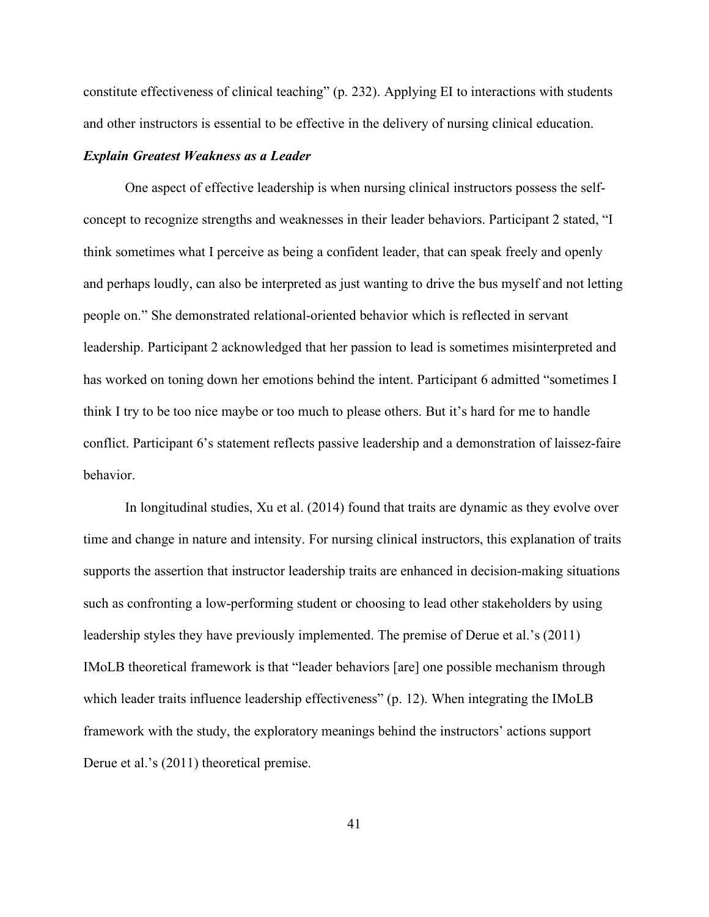constitute effectiveness of clinical teaching" (p. 232). Applying EI to interactions with students and other instructors is essential to be effective in the delivery of nursing clinical education.

#### *Explain Greatest Weakness as a Leader*

One aspect of effective leadership is when nursing clinical instructors possess the selfconcept to recognize strengths and weaknesses in their leader behaviors. Participant 2 stated, "I think sometimes what I perceive as being a confident leader, that can speak freely and openly and perhaps loudly, can also be interpreted as just wanting to drive the bus myself and not letting people on." She demonstrated relational-oriented behavior which is reflected in servant leadership. Participant 2 acknowledged that her passion to lead is sometimes misinterpreted and has worked on toning down her emotions behind the intent. Participant 6 admitted "sometimes I think I try to be too nice maybe or too much to please others. But it's hard for me to handle conflict. Participant 6's statement reflects passive leadership and a demonstration of laissez-faire behavior.

In longitudinal studies, Xu et al. (2014) found that traits are dynamic as they evolve over time and change in nature and intensity. For nursing clinical instructors, this explanation of traits supports the assertion that instructor leadership traits are enhanced in decision-making situations such as confronting a low-performing student or choosing to lead other stakeholders by using leadership styles they have previously implemented. The premise of Derue et al.'s (2011) IMoLB theoretical framework is that "leader behaviors [are] one possible mechanism through which leader traits influence leadership effectiveness" (p. 12). When integrating the IMoLB framework with the study, the exploratory meanings behind the instructors' actions support Derue et al.'s (2011) theoretical premise.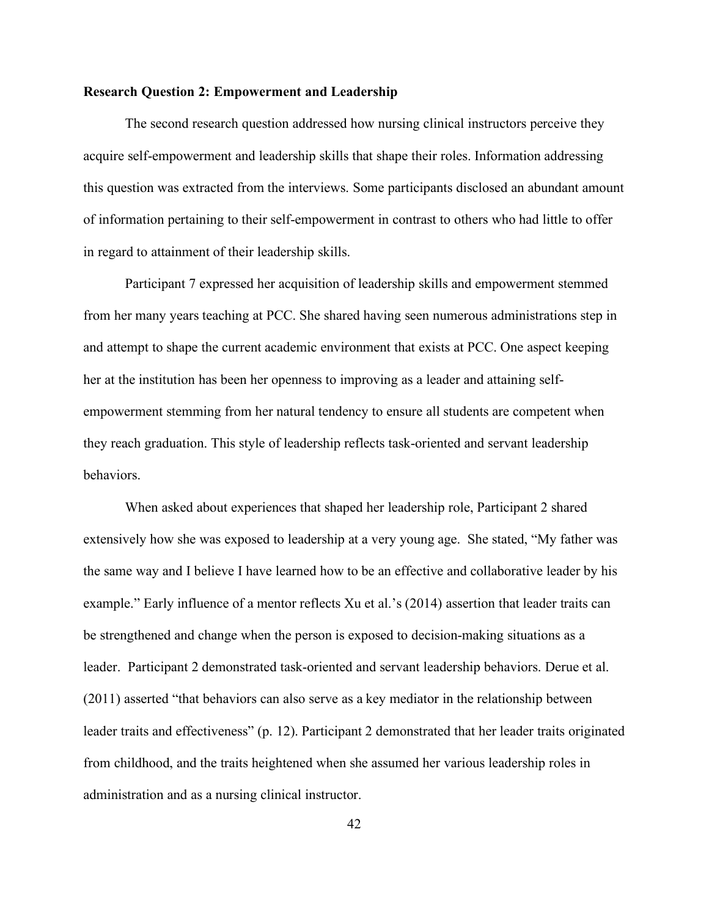#### <span id="page-53-0"></span>**Research Question 2: Empowerment and Leadership**

The second research question addressed how nursing clinical instructors perceive they acquire self-empowerment and leadership skills that shape their roles. Information addressing this question was extracted from the interviews. Some participants disclosed an abundant amount of information pertaining to their self-empowerment in contrast to others who had little to offer in regard to attainment of their leadership skills.

Participant 7 expressed her acquisition of leadership skills and empowerment stemmed from her many years teaching at PCC. She shared having seen numerous administrations step in and attempt to shape the current academic environment that exists at PCC. One aspect keeping her at the institution has been her openness to improving as a leader and attaining selfempowerment stemming from her natural tendency to ensure all students are competent when they reach graduation. This style of leadership reflects task-oriented and servant leadership behaviors.

When asked about experiences that shaped her leadership role, Participant 2 shared extensively how she was exposed to leadership at a very young age. She stated, "My father was the same way and I believe I have learned how to be an effective and collaborative leader by his example." Early influence of a mentor reflects Xu et al.'s (2014) assertion that leader traits can be strengthened and change when the person is exposed to decision-making situations as a leader. Participant 2 demonstrated task-oriented and servant leadership behaviors. Derue et al. (2011) asserted "that behaviors can also serve as a key mediator in the relationship between leader traits and effectiveness" (p. 12). Participant 2 demonstrated that her leader traits originated from childhood, and the traits heightened when she assumed her various leadership roles in administration and as a nursing clinical instructor.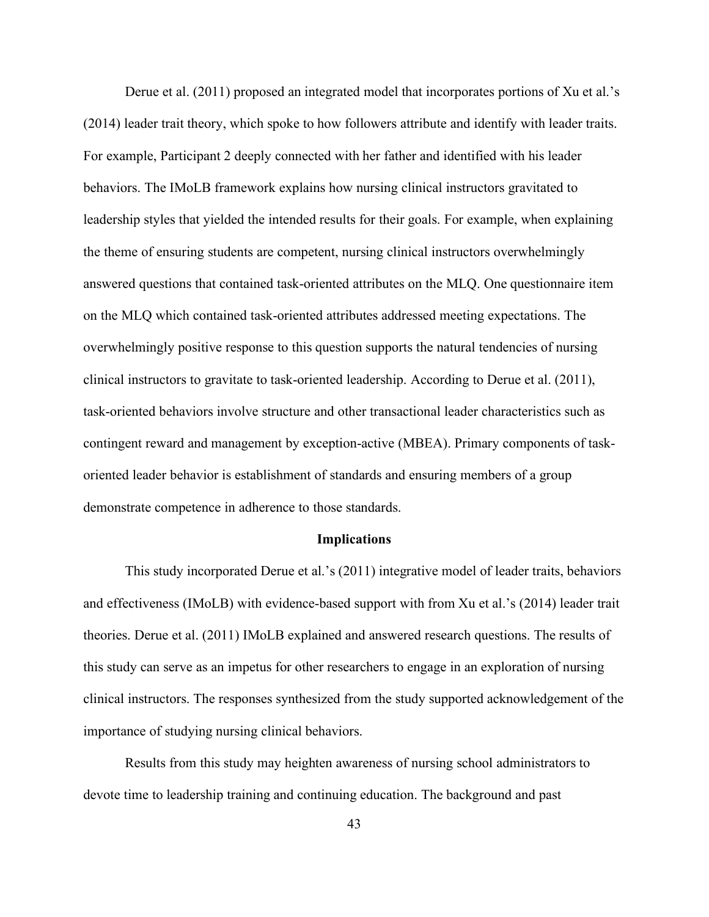Derue et al. (2011) proposed an integrated model that incorporates portions of Xu et al.'s (2014) leader trait theory, which spoke to how followers attribute and identify with leader traits. For example, Participant 2 deeply connected with her father and identified with his leader behaviors. The IMoLB framework explains how nursing clinical instructors gravitated to leadership styles that yielded the intended results for their goals. For example, when explaining the theme of ensuring students are competent, nursing clinical instructors overwhelmingly answered questions that contained task-oriented attributes on the MLQ. One questionnaire item on the MLQ which contained task-oriented attributes addressed meeting expectations. The overwhelmingly positive response to this question supports the natural tendencies of nursing clinical instructors to gravitate to task-oriented leadership. According to Derue et al. (2011), task-oriented behaviors involve structure and other transactional leader characteristics such as contingent reward and management by exception-active (MBEA). Primary components of taskoriented leader behavior is establishment of standards and ensuring members of a group demonstrate competence in adherence to those standards.

#### **Implications**

This study incorporated Derue et al.'s (2011) integrative model of leader traits, behaviors and effectiveness (IMoLB) with evidence-based support with from Xu et al.'s (2014) leader trait theories. Derue et al. (2011) IMoLB explained and answered research questions. The results of this study can serve as an impetus for other researchers to engage in an exploration of nursing clinical instructors. The responses synthesized from the study supported acknowledgement of the importance of studying nursing clinical behaviors.

Results from this study may heighten awareness of nursing school administrators to devote time to leadership training and continuing education. The background and past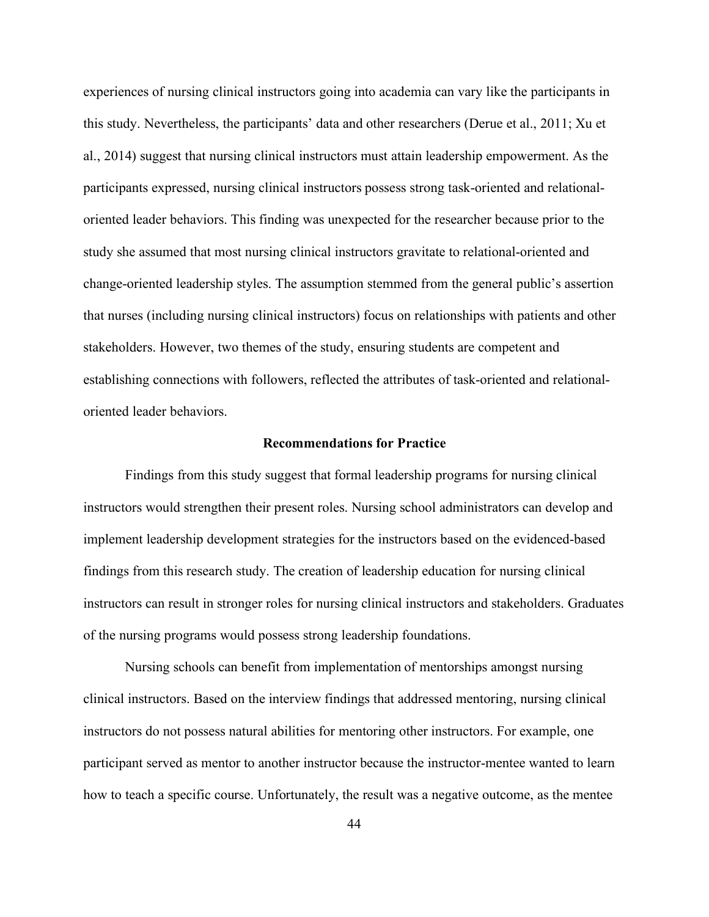experiences of nursing clinical instructors going into academia can vary like the participants in this study. Nevertheless, the participants' data and other researchers (Derue et al., 2011; Xu et al., 2014) suggest that nursing clinical instructors must attain leadership empowerment. As the participants expressed, nursing clinical instructors possess strong task-oriented and relationaloriented leader behaviors. This finding was unexpected for the researcher because prior to the study she assumed that most nursing clinical instructors gravitate to relational-oriented and change-oriented leadership styles. The assumption stemmed from the general public's assertion that nurses (including nursing clinical instructors) focus on relationships with patients and other stakeholders. However, two themes of the study, ensuring students are competent and establishing connections with followers, reflected the attributes of task-oriented and relationaloriented leader behaviors.

#### **Recommendations for Practice**

<span id="page-55-0"></span>Findings from this study suggest that formal leadership programs for nursing clinical instructors would strengthen their present roles. Nursing school administrators can develop and implement leadership development strategies for the instructors based on the evidenced-based findings from this research study. The creation of leadership education for nursing clinical instructors can result in stronger roles for nursing clinical instructors and stakeholders. Graduates of the nursing programs would possess strong leadership foundations.

Nursing schools can benefit from implementation of mentorships amongst nursing clinical instructors. Based on the interview findings that addressed mentoring, nursing clinical instructors do not possess natural abilities for mentoring other instructors. For example, one participant served as mentor to another instructor because the instructor-mentee wanted to learn how to teach a specific course. Unfortunately, the result was a negative outcome, as the mentee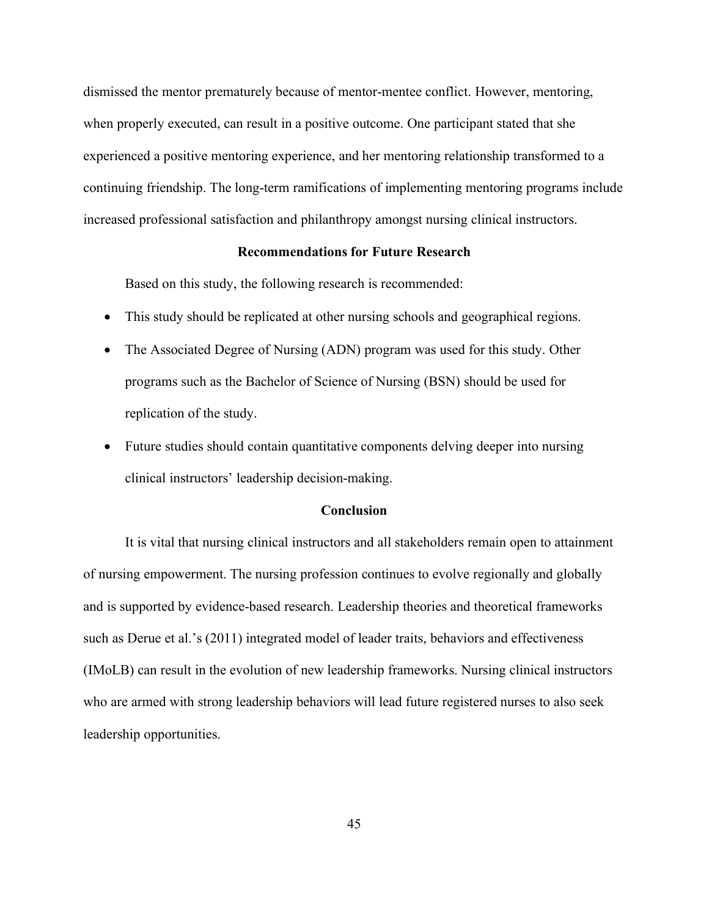dismissed the mentor prematurely because of mentor-mentee conflict. However, mentoring, when properly executed, can result in a positive outcome. One participant stated that she experienced a positive mentoring experience, and her mentoring relationship transformed to a continuing friendship. The long-term ramifications of implementing mentoring programs include increased professional satisfaction and philanthropy amongst nursing clinical instructors.

#### **Recommendations for Future Research**

<span id="page-56-0"></span>Based on this study, the following research is recommended:

- This study should be replicated at other nursing schools and geographical regions.
- The Associated Degree of Nursing (ADN) program was used for this study. Other programs such as the Bachelor of Science of Nursing (BSN) should be used for replication of the study.
- Future studies should contain quantitative components delving deeper into nursing clinical instructors' leadership decision-making.

#### <span id="page-56-1"></span>**Conclusion**

It is vital that nursing clinical instructors and all stakeholders remain open to attainment of nursing empowerment. The nursing profession continues to evolve regionally and globally and is supported by evidence-based research. Leadership theories and theoretical frameworks such as Derue et al.'s (2011) integrated model of leader traits, behaviors and effectiveness (IMoLB) can result in the evolution of new leadership frameworks. Nursing clinical instructors who are armed with strong leadership behaviors will lead future registered nurses to also seek leadership opportunities.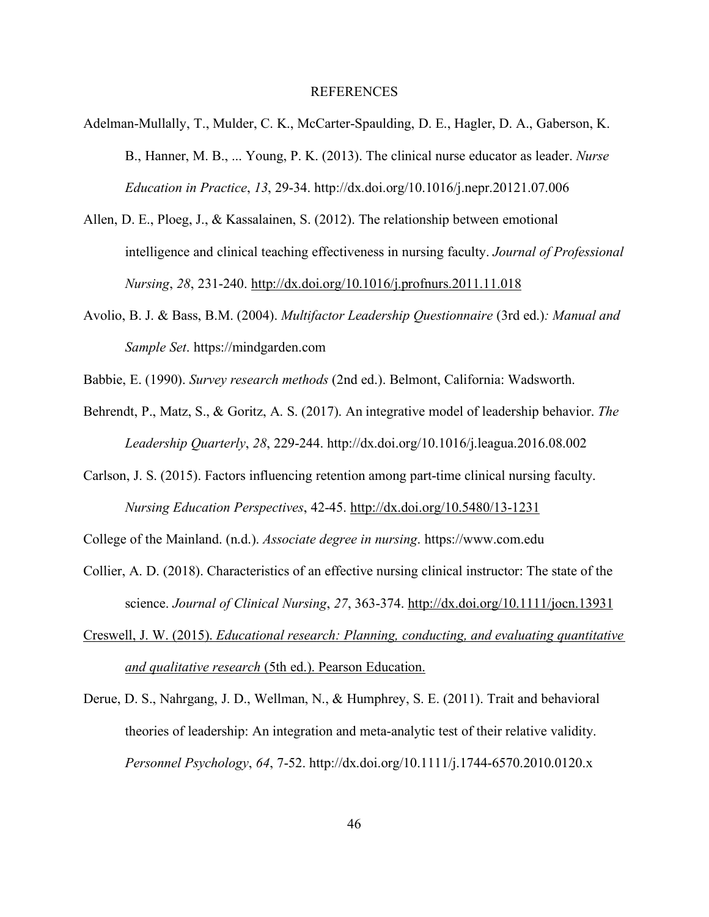#### REFERENCES

- <span id="page-57-0"></span>Adelman-Mullally, T., Mulder, C. K., McCarter-Spaulding, D. E., Hagler, D. A., Gaberson, K. B., Hanner, M. B., ... Young, P. K. (2013). The clinical nurse educator as leader. *Nurse Education in Practice*, *13*, 29-34. http://dx.doi.org/10.1016/j.nepr.20121.07.006
- Allen, D. E., Ploeg, J., & Kassalainen, S. (2012). The relationship between emotional intelligence and clinical teaching effectiveness in nursing faculty. *Journal of Professional Nursing*, *28*, 231-240. http://dx.doi.org/10.1016/j.profnurs.2011.11.018
- Avolio, B. J. & Bass, B.M. (2004). *Multifactor Leadership Questionnaire* (3rd ed.)*: Manual and Sample Set*. https://mindgarden.com
- Babbie, E. (1990). *Survey research methods* (2nd ed.). Belmont, California: Wadsworth.
- Behrendt, P., Matz, S., & Goritz, A. S. (2017). An integrative model of leadership behavior. *The Leadership Quarterly*, *28*, 229-244. http://dx.doi.org/10.1016/j.leagua.2016.08.002
- Carlson, J. S. (2015). Factors influencing retention among part-time clinical nursing faculty. *Nursing Education Perspectives*, 42-45. http://dx.doi.org/10.5480/13-1231

College of the Mainland. (n.d.). *Associate degree in nursing*. https://www.com.edu

- Collier, A. D. (2018). Characteristics of an effective nursing clinical instructor: The state of the science. *Journal of Clinical Nursing*, *27*, 363-374. http://dx.doi.org/10.1111/jocn.13931
- Creswell, J. W. (2015). *Educational research: Planning, conducting, and evaluating quantitative and qualitative research* (5th ed.). Pearson Education.
- Derue, D. S., Nahrgang, J. D., Wellman, N., & Humphrey, S. E. (2011). Trait and behavioral theories of leadership: An integration and meta-analytic test of their relative validity. *Personnel Psychology*, *64*, 7-52. http://dx.doi.org/10.1111/j.1744-6570.2010.0120.x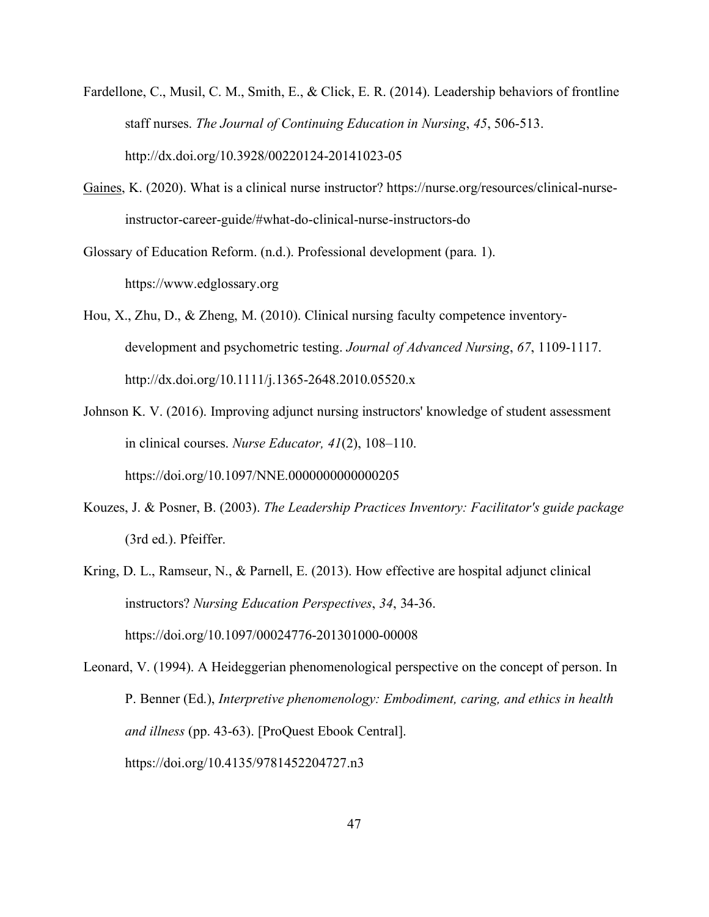- Fardellone, C., Musil, C. M., Smith, E., & Click, E. R. (2014). Leadership behaviors of frontline staff nurses. *The Journal of Continuing Education in Nursing*, *45*, 506-513. http://dx.doi.org/10.3928/00220124-20141023-05
- [Gaines,](https://nurse.org/about) K. (2020). What is a clinical nurse instructor? https://nurse.org/resources/clinical-nurseinstructor-career-guide/#what-do-clinical-nurse-instructors-do

Glossary of Education Reform. (n.d.). Professional development (para. 1). https://www.edglossary.org

Hou, X., Zhu, D., & Zheng, M. (2010). Clinical nursing faculty competence inventorydevelopment and psychometric testing. *Journal of Advanced Nursing*, *67*, 1109-1117. http://dx.doi.org/10.1111/j.1365-2648.2010.05520.x

- Johnson K. V. (2016). Improving adjunct nursing instructors' knowledge of student assessment in clinical courses. *Nurse Educator, 41*(2), 108–110. https://doi.org/10.1097/NNE.0000000000000205
- Kouzes, J. & Posner, B. (2003). *The Leadership Practices Inventory: Facilitator's guide package* (3rd ed.). Pfeiffer.
- Kring, D. L., Ramseur, N., & Parnell, E. (2013). How effective are hospital adjunct clinical instructors? *Nursing Education Perspectives*, *34*, 34-36. https://doi.org/10.1097/00024776-201301000-00008

Leonard, V. (1994). A Heideggerian phenomenological perspective on the concept of person. In P. Benner (Ed.), *Interpretive phenomenology: Embodiment, caring, and ethics in health and illness* (pp. 43-63). [ProQuest Ebook Central]. https://doi.org/10.4135/9781452204727.n3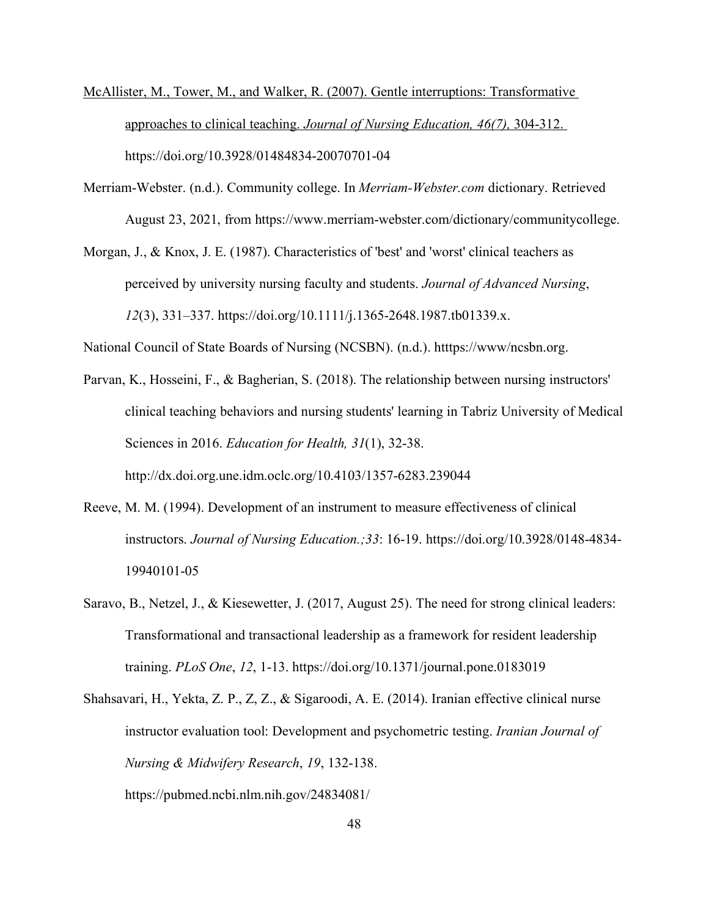- McAllister, M., Tower, M., and Walker, R. (2007). Gentle interruptions: Transformative approaches to clinical teaching. *Journal of Nursing Education, 46(7),* 304-312. https://doi.org/10.3928/01484834-20070701-04
- Merriam-Webster. (n.d.). Community college. In *Merriam-Webster.com* dictionary. Retrieved August 23, 2021, from https://www.merriam-webster.com/dictionary/communitycollege.
- Morgan, J., & Knox, J. E. (1987). Characteristics of 'best' and 'worst' clinical teachers as perceived by university nursing faculty and students. *Journal of Advanced Nursing*, *12*(3), 331–337. https://doi.org/10.1111/j.1365-2648.1987.tb01339.x.

National Council of State Boards of Nursing (NCSBN). (n.d.). htttps://www/ncsbn.org.

Parvan, K., Hosseini, F., & Bagherian, S. (2018). The relationship between nursing instructors' clinical teaching behaviors and nursing students' learning in Tabriz University of Medical Sciences in 2016. *Education for Health, 31*(1), 32-38.

http://dx.doi.org.une.idm.oclc.org/10.4103/1357-6283.239044

- Reeve, M. M. (1994). Development of an instrument to measure effectiveness of clinical instructors. *Journal of Nursing Education.;33*: 16-19. https://doi.org/10.3928/0148-4834- 19940101-05
- Saravo, B., Netzel, J., & Kiesewetter, J. (2017, August 25). The need for strong clinical leaders: Transformational and transactional leadership as a framework for resident leadership training. *PLoS One*, *12*, 1-13. https://doi.org/10.1371/journal.pone.0183019
- Shahsavari, H., Yekta, Z. P., Z, Z., & Sigaroodi, A. E. (2014). Iranian effective clinical nurse instructor evaluation tool: Development and psychometric testing. *Iranian Journal of Nursing & Midwifery Research*, *19*, 132-138. https://pubmed.ncbi.nlm.nih.gov/24834081/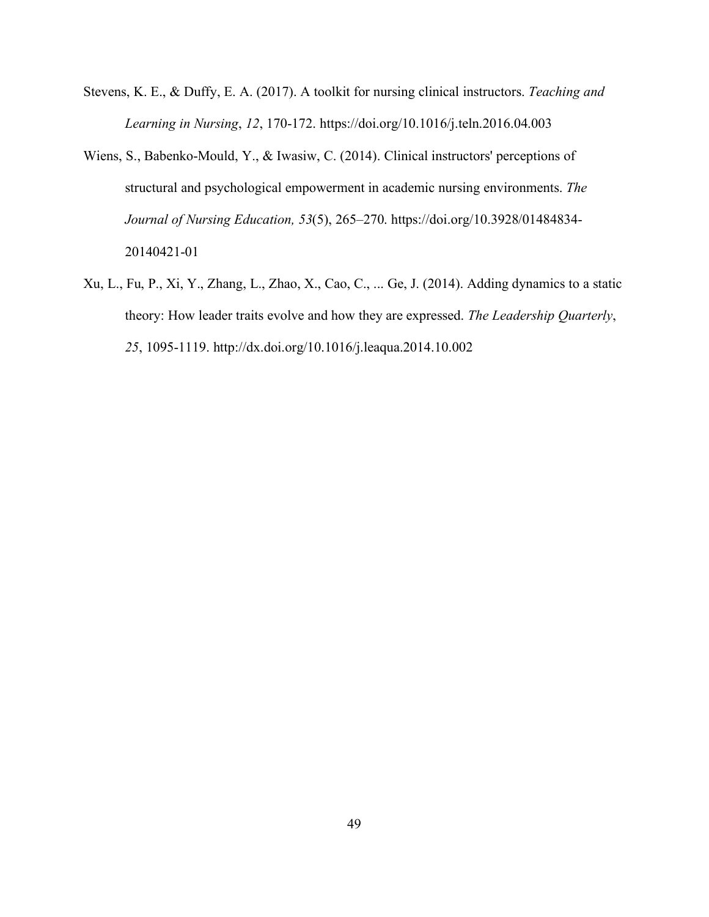- Stevens, K. E., & Duffy, E. A. (2017). A toolkit for nursing clinical instructors. *Teaching and Learning in Nursing*, *12*, 170-172. https://doi.org/10.1016/j.teln.2016.04.003
- Wiens, S., Babenko-Mould, Y., & Iwasiw, C. (2014). Clinical instructors' perceptions of structural and psychological empowerment in academic nursing environments. *The Journal of Nursing Education, 53*(5), 265–270. https://doi.org/10.3928/01484834- 20140421-01
- Xu, L., Fu, P., Xi, Y., Zhang, L., Zhao, X., Cao, C., ... Ge, J. (2014). Adding dynamics to a static theory: How leader traits evolve and how they are expressed. *The Leadership Quarterly*, *25*, 1095-1119. http://dx.doi.org/10.1016/j.leaqua.2014.10.002